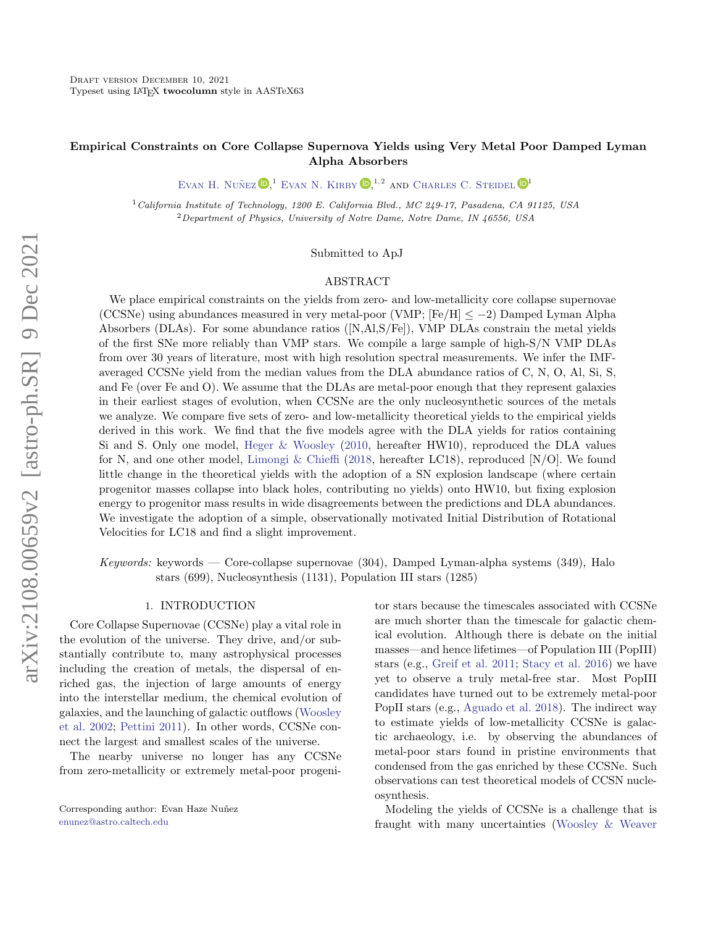# Empirical Constraints on Core Collapse Supernova Yields using Very Metal Poor Damped Lyman Alpha Absorbers

EVAN H. NUÑEZ  $\mathbb{D}^{1}$  EVAN N. KIRBY  $\mathbb{D}^{1,2}$  and [Charles C. Steidel](http://orcid.org/0000-0002-4834-7260)  $\mathbb{D}^{1}$ 

<sup>1</sup>California Institute of Technology, 1200 E. California Blvd., MC 249-17, Pasadena, CA 91125, USA <sup>2</sup>Department of Physics, University of Notre Dame, Notre Dame, IN 46556, USA

## Submitted to ApJ

# ABSTRACT

We place empirical constraints on the yields from zero- and low-metallicity core collapse supernovae (CCSNe) using abundances measured in very metal-poor (VMP;  $[Fe/H] \le -2$ ) Damped Lyman Alpha Absorbers (DLAs). For some abundance ratios ([N,Al,S/Fe]), VMP DLAs constrain the metal yields of the first SNe more reliably than VMP stars. We compile a large sample of high-S/N VMP DLAs from over 30 years of literature, most with high resolution spectral measurements. We infer the IMFaveraged CCSNe yield from the median values from the DLA abundance ratios of C, N, O, Al, Si, S, and Fe (over Fe and O). We assume that the DLAs are metal-poor enough that they represent galaxies in their earliest stages of evolution, when CCSNe are the only nucleosynthetic sources of the metals we analyze. We compare five sets of zero- and low-metallicity theoretical yields to the empirical yields derived in this work. We find that the five models agree with the DLA yields for ratios containing Si and S. Only one model, [Heger & Woosley](#page-21-0) [\(2010,](#page-21-0) hereafter HW10), reproduced the DLA values for N, and one other model, [Limongi & Chieffi](#page-22-0) [\(2018,](#page-22-0) hereafter LC18), reproduced [N/O]. We found little change in the theoretical yields with the adoption of a SN explosion landscape (where certain progenitor masses collapse into black holes, contributing no yields) onto HW10, but fixing explosion energy to progenitor mass results in wide disagreements between the predictions and DLA abundances. We investigate the adoption of a simple, observationally motivated Initial Distribution of Rotational Velocities for LC18 and find a slight improvement.

Keywords: keywords — Core-collapse supernovae (304), Damped Lyman-alpha systems (349), Halo stars (699), Nucleosynthesis (1131), Population III stars (1285)

## 1. INTRODUCTION

<span id="page-0-0"></span>Core Collapse Supernovae (CCSNe) play a vital role in the evolution of the universe. They drive, and/or substantially contribute to, many astrophysical processes including the creation of metals, the dispersal of enriched gas, the injection of large amounts of energy into the interstellar medium, the chemical evolution of galaxies, and the launching of galactic outflows [\(Woosley](#page-23-0) [et al.](#page-23-0) [2002;](#page-23-0) [Pettini](#page-22-1) [2011\)](#page-22-1). In other words, CCSNe connect the largest and smallest scales of the universe.

The nearby universe no longer has any CCSNe from zero-metallicity or extremely metal-poor progeni-

Corresponding author: Evan Haze Nuñez [enunez@astro.caltech.edu](mailto: enunez@astro.caltech.edu)

tor stars because the timescales associated with CCSNe are much shorter than the timescale for galactic chemical evolution. Although there is debate on the initial masses—and hence lifetimes—of Population III (PopIII) stars (e.g., [Greif et al.](#page-21-1) [2011;](#page-21-1) [Stacy et al.](#page-23-1) [2016\)](#page-23-1) we have yet to observe a truly metal-free star. Most PopIII candidates have turned out to be extremely metal-poor PopII stars (e.g., [Aguado et al.](#page-20-0) [2018\)](#page-20-0). The indirect way to estimate yields of low-metallicity CCSNe is galactic archaeology, i.e. by observing the abundances of metal-poor stars found in pristine environments that condensed from the gas enriched by these CCSNe. Such observations can test theoretical models of CCSN nucleosynthesis.

Modeling the yields of CCSNe is a challenge that is fraught with many uncertainties [\(Woosley & Weaver](#page-23-2)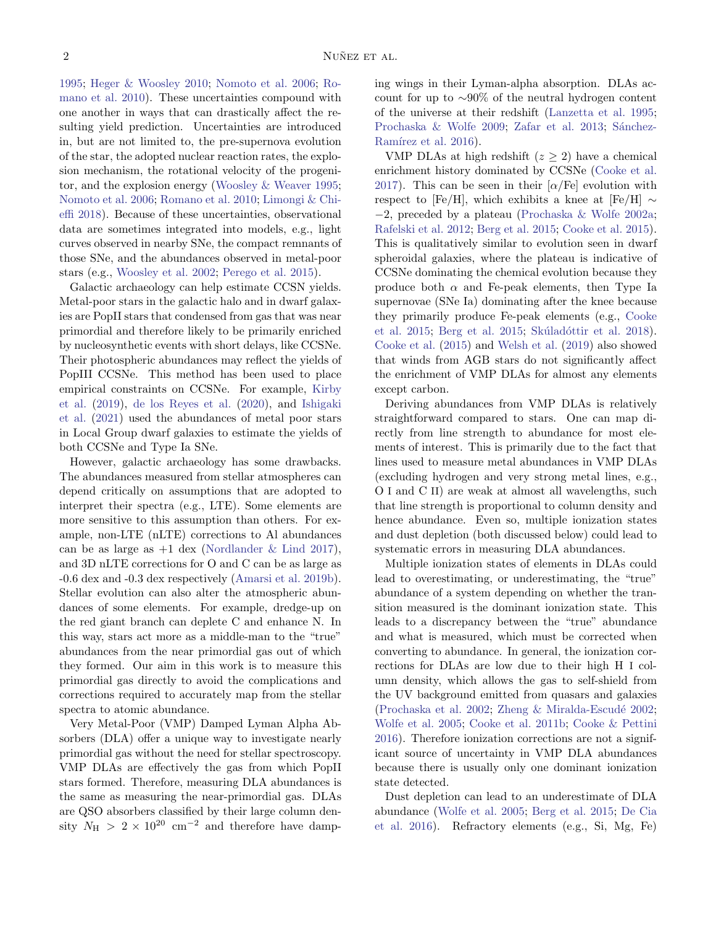[1995;](#page-23-2) [Heger & Woosley](#page-21-0) [2010;](#page-21-0) [Nomoto et al.](#page-22-2) [2006;](#page-22-2) [Ro](#page-23-3)[mano et al.](#page-23-3) [2010\)](#page-23-3). These uncertainties compound with one another in ways that can drastically affect the resulting yield prediction. Uncertainties are introduced in, but are not limited to, the pre-supernova evolution of the star, the adopted nuclear reaction rates, the explosion mechanism, the rotational velocity of the progenitor, and the explosion energy [\(Woosley & Weaver](#page-23-2) [1995;](#page-23-2) [Nomoto et al.](#page-22-2) [2006;](#page-22-2) [Romano et al.](#page-23-3) [2010;](#page-23-3) [Limongi & Chi](#page-22-0)[effi](#page-22-0) [2018\)](#page-22-0). Because of these uncertainties, observational data are sometimes integrated into models, e.g., light curves observed in nearby SNe, the compact remnants of those SNe, and the abundances observed in metal-poor stars (e.g., [Woosley et al.](#page-23-0) [2002;](#page-23-0) [Perego et al.](#page-22-3) [2015\)](#page-22-3).

Galactic archaeology can help estimate CCSN yields. Metal-poor stars in the galactic halo and in dwarf galaxies are PopII stars that condensed from gas that was near primordial and therefore likely to be primarily enriched by nucleosynthetic events with short delays, like CCSNe. Their photospheric abundances may reflect the yields of PopIII CCSNe. This method has been used to place empirical constraints on CCSNe. For example, [Kirby](#page-21-2) [et al.](#page-21-2) [\(2019\)](#page-21-2), [de los Reyes et al.](#page-21-3) [\(2020\)](#page-21-3), and [Ishigaki](#page-21-4) [et al.](#page-21-4) [\(2021\)](#page-21-4) used the abundances of metal poor stars in Local Group dwarf galaxies to estimate the yields of both CCSNe and Type Ia SNe.

However, galactic archaeology has some drawbacks. The abundances measured from stellar atmospheres can depend critically on assumptions that are adopted to interpret their spectra (e.g., LTE). Some elements are more sensitive to this assumption than others. For example, non-LTE (nLTE) corrections to Al abundances can be as large as  $+1$  dex [\(Nordlander & Lind](#page-22-4) [2017\)](#page-22-4), and 3D nLTE corrections for O and C can be as large as -0.6 dex and -0.3 dex respectively [\(Amarsi et al.](#page-20-1) [2019b\)](#page-20-1). Stellar evolution can also alter the atmospheric abundances of some elements. For example, dredge-up on the red giant branch can deplete C and enhance N. In this way, stars act more as a middle-man to the "true" abundances from the near primordial gas out of which they formed. Our aim in this work is to measure this primordial gas directly to avoid the complications and corrections required to accurately map from the stellar spectra to atomic abundance.

Very Metal-Poor (VMP) Damped Lyman Alpha Absorbers (DLA) offer a unique way to investigate nearly primordial gas without the need for stellar spectroscopy. VMP DLAs are effectively the gas from which PopII stars formed. Therefore, measuring DLA abundances is the same as measuring the near-primordial gas. DLAs are QSO absorbers classified by their large column density  $N_{\rm H}$  > 2 × 10<sup>20</sup> cm<sup>-2</sup> and therefore have damping wings in their Lyman-alpha absorption. DLAs account for up to ∼90% of the neutral hydrogen content of the universe at their redshift [\(Lanzetta et al.](#page-22-5) [1995;](#page-22-5) [Prochaska & Wolfe](#page-22-6) [2009;](#page-22-6) [Zafar et al.](#page-23-4) [2013;](#page-23-4) Sánchez-Ramírez et al. [2016\)](#page-23-5).

VMP DLAs at high redshift  $(z > 2)$  have a chemical enrichment history dominated by CCSNe [\(Cooke et al.](#page-21-5) [2017\)](#page-21-5). This can be seen in their  $\alpha$ /Fe] evolution with respect to [Fe/H], which exhibits a knee at [Fe/H]  $\sim$ −2, preceded by a plateau [\(Prochaska & Wolfe](#page-22-7) [2002a;](#page-22-7) [Rafelski et al.](#page-22-8) [2012;](#page-22-8) [Berg et al.](#page-20-2) [2015;](#page-20-2) [Cooke et al.](#page-21-6) [2015\)](#page-21-6). This is qualitatively similar to evolution seen in dwarf spheroidal galaxies, where the plateau is indicative of CCSNe dominating the chemical evolution because they produce both  $\alpha$  and Fe-peak elements, then Type Ia supernovae (SNe Ia) dominating after the knee because they primarily produce Fe-peak elements (e.g., [Cooke](#page-21-6) [et al.](#page-21-6) [2015;](#page-20-2) [Berg et al.](#page-20-2) 2015; Skúladóttir et al. [2018\)](#page-23-6). [Cooke et al.](#page-21-6) [\(2015\)](#page-21-6) and [Welsh et al.](#page-23-7) [\(2019\)](#page-23-7) also showed that winds from AGB stars do not significantly affect the enrichment of VMP DLAs for almost any elements except carbon.

Deriving abundances from VMP DLAs is relatively straightforward compared to stars. One can map directly from line strength to abundance for most elements of interest. This is primarily due to the fact that lines used to measure metal abundances in VMP DLAs (excluding hydrogen and very strong metal lines, e.g., O I and C II) are weak at almost all wavelengths, such that line strength is proportional to column density and hence abundance. Even so, multiple ionization states and dust depletion (both discussed below) could lead to systematic errors in measuring DLA abundances.

Multiple ionization states of elements in DLAs could lead to overestimating, or underestimating, the "true" abundance of a system depending on whether the transition measured is the dominant ionization state. This leads to a discrepancy between the "true" abundance and what is measured, which must be corrected when converting to abundance. In general, the ionization corrections for DLAs are low due to their high H I column density, which allows the gas to self-shield from the UV background emitted from quasars and galaxies [\(Prochaska et al.](#page-22-9) [2002;](#page-23-8) Zheng  $\&$  Miralda-Escudé 2002; [Wolfe et al.](#page-23-9) [2005;](#page-23-9) [Cooke et al.](#page-20-3) [2011b;](#page-20-3) [Cooke & Pettini](#page-20-4) [2016\)](#page-20-4). Therefore ionization corrections are not a significant source of uncertainty in VMP DLA abundances because there is usually only one dominant ionization state detected.

Dust depletion can lead to an underestimate of DLA abundance [\(Wolfe et al.](#page-23-9) [2005;](#page-23-9) [Berg et al.](#page-20-2) [2015;](#page-20-2) [De Cia](#page-21-7) [et al.](#page-21-7) [2016\)](#page-21-7). Refractory elements (e.g., Si, Mg, Fe)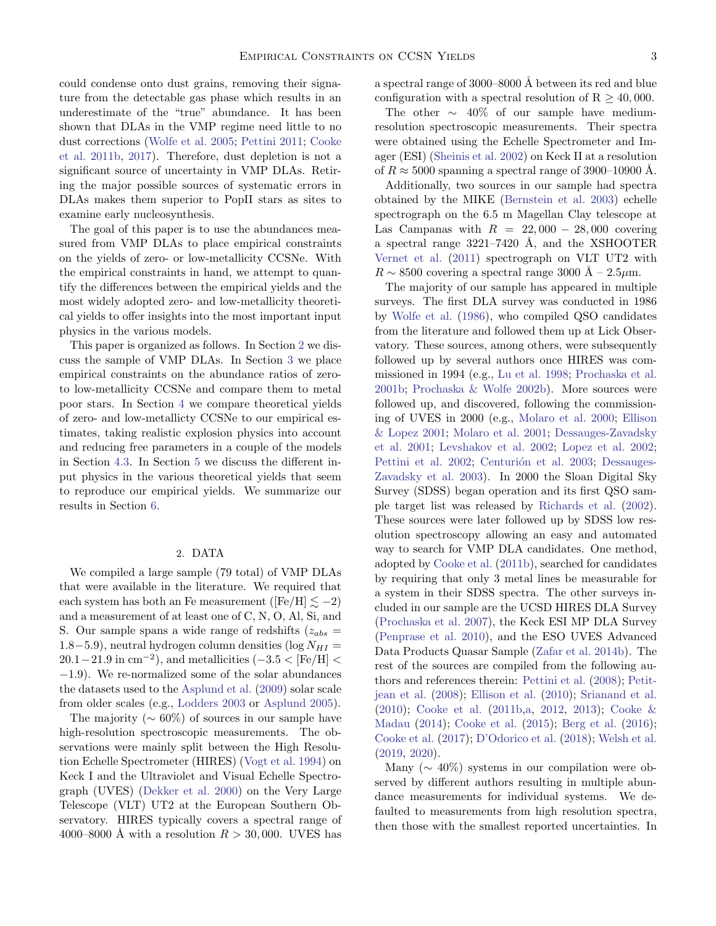could condense onto dust grains, removing their signature from the detectable gas phase which results in an underestimate of the "true" abundance. It has been shown that DLAs in the VMP regime need little to no dust corrections [\(Wolfe et al.](#page-23-9) [2005;](#page-23-9) [Pettini](#page-22-1) [2011;](#page-22-1) [Cooke](#page-20-3) [et al.](#page-20-3) [2011b,](#page-20-3) [2017\)](#page-21-5). Therefore, dust depletion is not a significant source of uncertainty in VMP DLAs. Retiring the major possible sources of systematic errors in DLAs makes them superior to PopII stars as sites to examine early nucleosynthesis.

The goal of this paper is to use the abundances measured from VMP DLAs to place empirical constraints on the yields of zero- or low-metallicity CCSNe. With the empirical constraints in hand, we attempt to quantify the differences between the empirical yields and the most widely adopted zero- and low-metallicity theoretical yields to offer insights into the most important input physics in the various models.

This paper is organized as follows. In Section [2](#page-2-0) we discuss the sample of VMP DLAs. In Section [3](#page-8-0) we place empirical constraints on the abundance ratios of zeroto low-metallicity CCSNe and compare them to metal poor stars. In Section [4](#page-11-0) we compare theoretical yields of zero- and low-metallicty CCSNe to our empirical estimates, taking realistic explosion physics into account and reducing free parameters in a couple of the models in Section [4.3.](#page-14-0) In Section [5](#page-17-0) we discuss the different input physics in the various theoretical yields that seem to reproduce our empirical yields. We summarize our results in Section [6.](#page-19-0)

# 2. DATA

<span id="page-2-0"></span>We compiled a large sample (79 total) of VMP DLAs that were available in the literature. We required that each system has both an Fe measurement ([Fe/H]  $\leq -2$ ) and a measurement of at least one of C, N, O, Al, Si, and S. Our sample spans a wide range of redshifts  $(z_{abs} =$  $1.8-5.9$ ), neutral hydrogen column densities (log  $N_{HI} =$  $20.1-21.9$  in cm<sup>-2</sup>), and metallicities  $(-3.5 < [Fe/H] <$ −1.9). We re-normalized some of the solar abundances the datasets used to the [Asplund et al.](#page-20-5) [\(2009\)](#page-20-5) solar scale from older scales (e.g., [Lodders](#page-22-10) [2003](#page-22-10) or [Asplund](#page-20-6) [2005\)](#page-20-6).

The majority ( $\sim 60\%$ ) of sources in our sample have high-resolution spectroscopic measurements. The observations were mainly split between the High Resolution Echelle Spectrometer (HIRES) [\(Vogt et al.](#page-23-10) [1994\)](#page-23-10) on Keck I and the Ultraviolet and Visual Echelle Spectrograph (UVES) [\(Dekker et al.](#page-21-8) [2000\)](#page-21-8) on the Very Large Telescope (VLT) UT2 at the European Southern Observatory. HIRES typically covers a spectral range of 4000–8000 Å with a resolution  $R > 30,000$ . UVES has a spectral range of  $3000-8000$  Å between its red and blue configuration with a spectral resolution of  $R > 40,000$ .

The other  $\sim$  40% of our sample have mediumresolution spectroscopic measurements. Their spectra were obtained using the Echelle Spectrometer and Imager (ESI) [\(Sheinis et al.](#page-23-11) [2002\)](#page-23-11) on Keck II at a resolution of  $R \approx 5000$  spanning a spectral range of 3900–10900 Å.

Additionally, two sources in our sample had spectra obtained by the MIKE [\(Bernstein et al.](#page-20-7) [2003\)](#page-20-7) echelle spectrograph on the 6.5 m Magellan Clay telescope at Las Campanas with  $R = 22,000 - 28,000$  covering a spectral range  $3221-7420$  Å, and the XSHOOTER [Vernet et al.](#page-23-12) [\(2011\)](#page-23-12) spectrograph on VLT UT2 with  $R \sim 8500$  covering a spectral range 3000 Å – 2.5 $\mu$ m.

The majority of our sample has appeared in multiple surveys. The first DLA survey was conducted in 1986 by [Wolfe et al.](#page-23-13) [\(1986\)](#page-23-13), who compiled QSO candidates from the literature and followed them up at Lick Observatory. These sources, among others, were subsequently followed up by several authors once HIRES was commissioned in 1994 (e.g., [Lu et al.](#page-22-11) [1998;](#page-22-11) [Prochaska et al.](#page-22-12) [2001b;](#page-22-12) [Prochaska & Wolfe](#page-22-13) [2002b\)](#page-22-13). More sources were followed up, and discovered, following the commissioning of UVES in 2000 (e.g., [Molaro et al.](#page-22-14) [2000;](#page-22-14) [Ellison](#page-21-9) [& Lopez](#page-21-9) [2001;](#page-21-9) [Molaro et al.](#page-22-15) [2001;](#page-22-15) [Dessauges-Zavadsky](#page-21-10) [et al.](#page-21-10) [2001;](#page-21-10) [Levshakov et al.](#page-22-16) [2002;](#page-22-16) [Lopez et al.](#page-22-17) [2002;](#page-22-17) [Pettini et al.](#page-22-18) [2002;](#page-22-18) Centurión et al. [2003;](#page-20-8) [Dessauges-](#page-21-11)[Zavadsky et al.](#page-21-11) [2003\)](#page-21-11). In 2000 the Sloan Digital Sky Survey (SDSS) began operation and its first QSO sample target list was released by [Richards et al.](#page-23-14) [\(2002\)](#page-23-14). These sources were later followed up by SDSS low resolution spectroscopy allowing an easy and automated way to search for VMP DLA candidates. One method, adopted by [Cooke et al.](#page-20-3) [\(2011b\)](#page-20-3), searched for candidates by requiring that only 3 metal lines be measurable for a system in their SDSS spectra. The other surveys included in our sample are the UCSD HIRES DLA Survey [\(Prochaska et al.](#page-22-19) [2007\)](#page-22-19), the Keck ESI MP DLA Survey [\(Penprase et al.](#page-22-20) [2010\)](#page-22-20), and the ESO UVES Advanced Data Products Quasar Sample [\(Zafar et al.](#page-23-15) [2014b\)](#page-23-15). The rest of the sources are compiled from the following authors and references therein: [Pettini et al.](#page-22-21) [\(2008\)](#page-22-21); [Petit](#page-22-22)[jean et al.](#page-22-22) [\(2008\)](#page-22-22); [Ellison et al.](#page-21-12) [\(2010\)](#page-21-12); [Srianand et al.](#page-23-16) [\(2010\)](#page-23-16); [Cooke et al.](#page-20-3) [\(2011b,](#page-20-3)[a,](#page-20-9) [2012,](#page-20-10) [2013\)](#page-20-11); [Cooke &](#page-20-12) [Madau](#page-20-12) [\(2014\)](#page-20-12); [Cooke et al.](#page-21-6) [\(2015\)](#page-21-6); [Berg et al.](#page-20-13) [\(2016\)](#page-20-13); [Cooke et al.](#page-21-5) [\(2017\)](#page-21-5); [D'Odorico et al.](#page-21-13) [\(2018\)](#page-21-13); [Welsh et al.](#page-23-7) [\(2019,](#page-23-7) [2020\)](#page-23-17).

Many ( $\sim 40\%$ ) systems in our compilation were observed by different authors resulting in multiple abundance measurements for individual systems. We defaulted to measurements from high resolution spectra, then those with the smallest reported uncertainties. In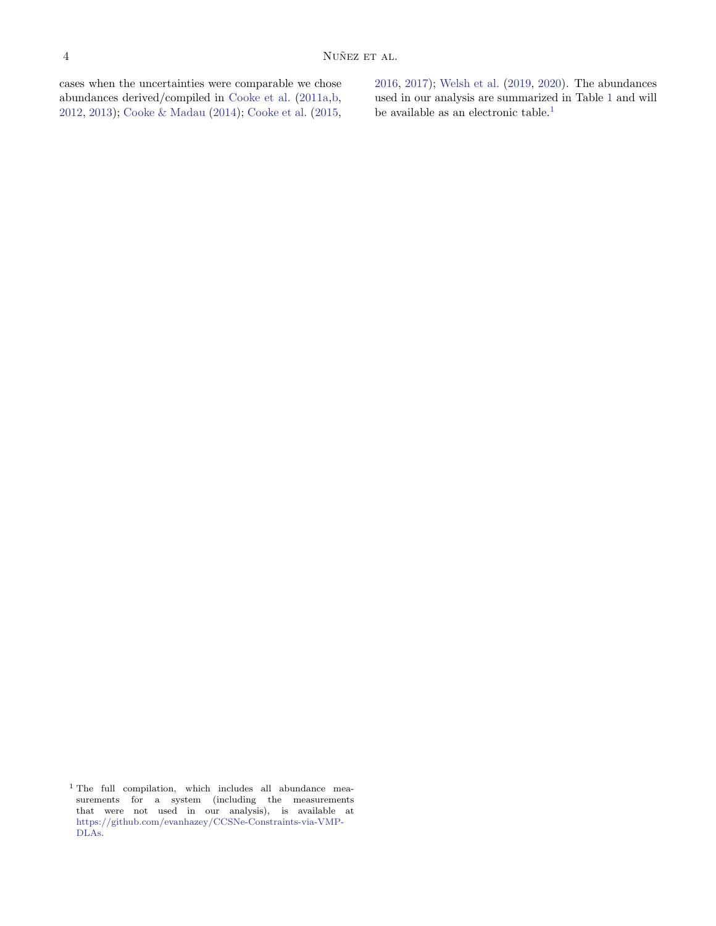cases when the uncertainties were comparable we chose abundances derived/compiled in [Cooke et al.](#page-20-9) [\(2011a,](#page-20-9)[b,](#page-20-3) [2012,](#page-20-10) [2013\)](#page-20-11); [Cooke & Madau](#page-20-12) [\(2014\)](#page-20-12); [Cooke et al.](#page-21-6) [\(2015,](#page-21-6) [2016,](#page-21-14) [2017\)](#page-21-5); [Welsh et al.](#page-23-7) [\(2019,](#page-23-7) [2020\)](#page-23-17). The abundances used in our analysis are summarized in Table [1](#page-2-0) and will be available as an electronic table. $^1$  $^1$ 

<span id="page-3-0"></span><sup>1</sup> The full compilation, which includes all abundance measurements for a system (including the measurements that were not used in our analysis), is available at [https://github.com/evanhazey/CCSNe-Constraints-via-VMP-](https://github.com/evanhazey/CCSNe-Constraints-via-VMP-DLAs)[DLAs.](https://github.com/evanhazey/CCSNe-Constraints-via-VMP-DLAs)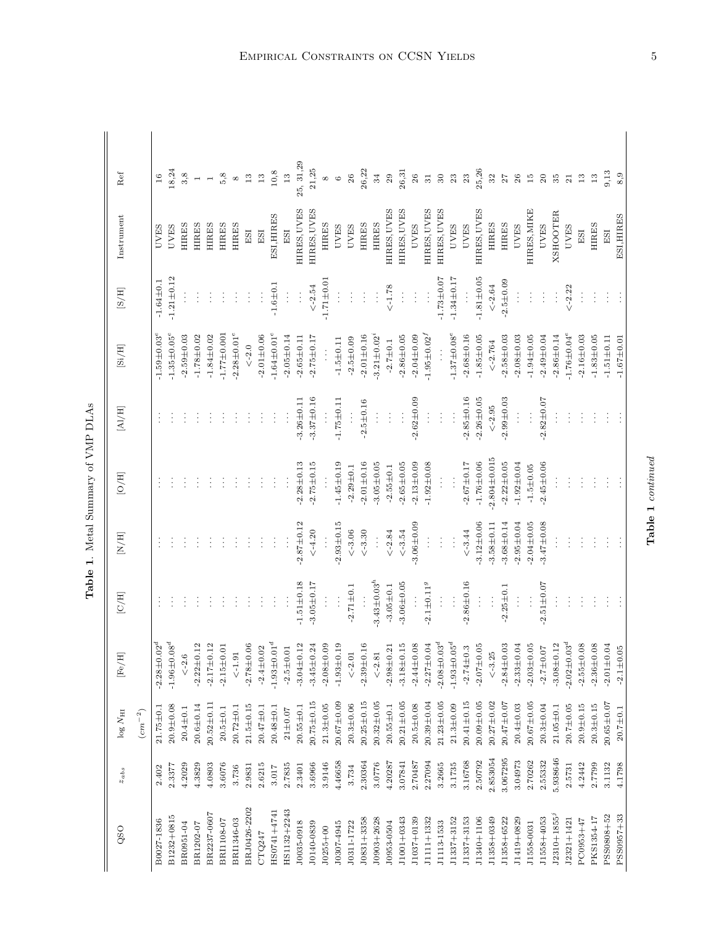| í                  |
|--------------------|
| ļ<br>i             |
| יים היים<br>b<br>Ì |
| J<br>j             |
|                    |
|                    |

| QSO              | $z_{abs}$ | $log N_{\rm HI}$  | $[\mathrm{Fe}/\mathrm{H}]$      | $[{\rm C/H}]$      | $\left[ \mathrm{N}/\mathrm{H} \right]$ | [O/H]             | $[{\rm Al/H}]$   | $\left[ \mathrm{Si}/\mathrm{H} \right]$ | $\rm [S/H]$      | Instrument      | Ref           |
|------------------|-----------|-------------------|---------------------------------|--------------------|----------------------------------------|-------------------|------------------|-----------------------------------------|------------------|-----------------|---------------|
|                  |           | $(\bar{cm}^{-2})$ |                                 |                    |                                        |                   |                  |                                         |                  |                 |               |
| B0027-1836       | 2.402     | $21.75 \pm 0.1$   | $-2.28 \pm 0.02^d$              | ţ                  |                                        |                   | $\vdots$         | $-1.59 \pm 0.03$ <sup>e</sup>           | $-1.64 \pm 0.1$  | <b>UVES</b>     | 16            |
| B1232+0815       | 2.3377    | $20.9 + 0.08$     | $-1.96 \pm 0.08^d$              |                    |                                        |                   |                  | $-1.35 \pm 0.05$ <sup>e</sup>           | $-1.21 \pm 0.12$ | <b>UVES</b>     | 18,24         |
| BR0951-04        | 4.2029    | $20.4 \pm 0.1$    | $\le -2.6$                      |                    |                                        |                   |                  | $-2.59 + 0.03$                          |                  | <b>HIRES</b>    | 3,8           |
| BR1202-07        | 4.3829    | $20.6 \pm 0.14$   | $^{2}$<br>$-2.22 \pm 0.$        | ÷                  |                                        |                   |                  | $-1.78 \pm 0.02$                        |                  | <b>HIRES</b>    |               |
| BR2237-0607      | 4.0803    | $20.52 \pm 0.11$  | $^{2}$<br>$-2.17 \pm 0.$        |                    |                                        |                   |                  | $-1.84 \pm 0.02$                        |                  | <b>HIRES</b>    |               |
| BRI1108-07       | 3.6076    | $20.5 + 0.1$      | $-2.15 \pm 0.01$                |                    |                                        |                   |                  | $-1.77 \pm 0.001$                       |                  | <b>HIRES</b>    | 5,8           |
| BRI1346-03       | 3.736     | $20.72 \pm 0.1$   | $<\!\!\!\sim\!\!1.91$           |                    |                                        |                   |                  | $-2.28 \pm 0.01^e$                      |                  | <b>HIRES</b>    | ${}^{\circ}$  |
| BRJ0426-2202     | 2.9831    | $21.5 \pm 0.15$   | $-2.78 \pm 0.06$                |                    |                                        |                   |                  | $\lt-2.0$                               | $\vdots$         | ESI             | $13\,$        |
| CTQ247           | 2.6215    | $20.47 \pm 0.1$   | $-2.4 \pm 0.02$                 | ÷                  | ŧ                                      |                   |                  | $-2.01 + 0.06$                          | $\vdots$         | $_{\rm ES}$     | $13\,$        |
| HS0741+4741      | 3.017     | $20.48 + 0.1$     | $-1.93 \pm 0.01^d$              | ÷                  |                                        |                   |                  | $-1.64 \pm 0.01$ <sup>e</sup>           | $-1.6 \pm 0.1$   | ESI, HIRES      | $10, 8$       |
| HS1132+2243      | 2.7835    | $21 \pm 0.07$     | $-2.5 \pm 0.01$                 | $\vdots$           | $\vdots$                               | ÷                 | $\vdots$         | $-2.05 \pm 0.14$                        | $\vdots$         | ESI             | $13$          |
| J0035-0918       | 2.3401    | $20.55 \pm 0.1$   | $^{12}$<br>$-3.04 \pm 0.$       | $-1.51 \pm 0.18$   | $-2.87 \pm 0.12$                       | $-2.28 \pm 0.13$  | $-3.26 \pm 0.11$ | $-2.65 \pm 0.11$                        | $\frac{1}{2}$    | HIRES, UVES     | 25, 31, 29    |
| J0140-0839       | 3.6966    | $20.75 \pm 0.15$  | $-3.45 \pm 0.24$                | $-3.05 \pm 0.17$   | $<$ -4.20                              | $-2.75 \pm 0.15$  | $-3.37 \pm 0.16$ | $-2.75 \pm 0.17$                        | $\leq -2.54$     | HIRES, UVES     | 21,25         |
| $J0255 + 00$     | 3.9146    | $21.3 \pm 0.05$   | $-2.08 \pm 0.09$                | $\vdots$           |                                        |                   |                  |                                         | $-1.71 \pm 0.01$ | <b>HIRES</b>    | $^{\circ}$    |
| J0307-4945       | 4.46658   | $20.67 + 0.09$    | $\frac{9}{1}$<br>$-1.93 \pm 0.$ | $\vdots$           | $-2.93 + 0.15$                         | $-1.45 \pm 0.19$  | $-1.75 \pm 0.11$ | $-1.5 \pm 0.11$                         | $\vdots$         | <b>UVES</b>     | $\circ$       |
| J0311-1722       | 3.734     | $20.3 + 0.06$     | $<-2.01$                        | $-2.71 \pm 0.1$    | $<-3.06$                               | $-2.29 \pm 0.1$   | $\vdots$         | $-2.5 \pm 0.09$                         | $\vdots$         | <b>UVES</b>     | 26            |
| J0831+3358       | 2.30364   | $20.25 \pm 0.15$  | $\frac{6}{1}$<br>$-2.39 \pm 0.$ |                    | $\leq -3.30$                           | $-2.01 \pm 0.16$  | $-2.5 \pm 0.16$  | $-2.01 + 0.16$                          | ÷                | <b>HIRES</b>    | 26,22         |
| J0903+2628       | 3.0776    | $20.32 \pm 0.05$  | $<\!\!-2.81$                    | $-3.43 \pm 0.03^h$ | $\vdots$                               | $-3.05 \pm 0.05$  | $\vdots$         | $-3.21 \pm 0.02$ <sup>*</sup>           | $\vdots$         | <b>HIRES</b>    | 34            |
| J0953-0504       | 4.20287   | $20.55 \pm 0.1$   | $-2.98 \pm 0.21$                | $-3.05 \pm 0.1$    | $<$ -2.84 $\,$                         | $-2.55 \pm 0.1$   | $\vdots$         | $-2.7 \pm 0.1$                          | $\leq -1.78$     | HIRES, UVES     | 29            |
| J1001+0343       | 3.07841   | $20.21 \pm 0.05$  | $-3.18 + 0.15$                  | $-3.06 \pm 0.05$   | $<-3.54$                               | $-2.65 \pm 0.05$  | $\vdots$         | $-2.86 \pm 0.05$                        | $\vdots$         | HIRES, UVES     | 26,31         |
| J1037+0139       | 2.70487   | $20.5 + 0.08$     | $-2.44 \pm 0.08$                | $\frac{1}{2}$      | $-3.06 + 0.09$                         | $-2.13 + 0.09$    | $-2.62 \pm 0.09$ | $-2.04 \pm 0.09$                        | ŧ                | <b>UVES</b>     | $26\,$        |
| J1111+1332       | 2.27094   | $20.39 + 0.04$    | $-2.27 \pm 0.04$                | $-2.1 \pm 0.11^g$  | $\vdots$                               | $-1.92 \pm 0.08$  | $\frac{1}{2}$    | $-1.95 \pm 0.02^{\prime}$               | $\frac{1}{2}$    | HIRES, UVES     | 31            |
| J1113-1533       | 3.2665    | $21.23 \pm 0.05$  | $-2.08 \pm 0.03$ <sup>d</sup>   | $\vdots$           | $\vdots$                               | $\vdots$          |                  |                                         | $-1.73 \pm 0.07$ | HIRES, UVES     | $30\,$        |
| J1337+3152       | 3.1735    | $21.3 \pm 0.09$   | $-1.93 \pm 0.05^d$              | $\vdots$           | $\vdots$                               | $\vdots$          | $\vdots$         | $-1.37 \pm 0.08$ <sup>e</sup>           | $-1.34 \pm 0.17$ | <b>UVES</b>     | 23            |
| J1337+3153       | 3.16768   | $20.41 \pm 0.15$  | $-2.74 \pm 0.3$                 | $-2.86 \pm 0.16$   | $<-3.44$                               | $-2.67 \pm 0.17$  | $-2.85 \pm 0.16$ | $-2.68 \pm 0.16$                        |                  | <b>UVES</b>     | $\sqrt{23}$   |
| J1340+1106       | 2.50792   | $20.09 + 0.05$    | $-2.07 \pm 0.05$                | $\frac{1}{2}$      | $-3.12 \pm 0.06$                       | $-1.76 \pm 0.06$  | $-2.26 \pm 0.05$ | $-1.85 + 0.05$                          | $-1.81 + 0.05$   | HIRES, UVES     | 25,26         |
| J1358+0349       | 2.853054  | $20.27 \pm 0.02$  | $\leq -3.25$                    | $\vdots$           | $-3.58 \pm 0.11$                       | $2.804 \pm 0.015$ | $\le -2.95$      | $<-2.764$                               | $<\!\!-2.64$     | <b>HIRES</b>    | $32\,$        |
| J1358+6522       | 3.067295  | $20.47 \pm 0.07$  | $-2.84 \pm 0.03$                | $-2.25 \pm 0.1$    | $-3.68 \pm 0.14$                       | $-2.22 \pm 0.05$  | $-2.99 \pm 0.03$ | $-2.58 \pm 0.03$                        | $-2.5 \pm 0.09$  | <b>HIRES</b>    | 27            |
| J1419+0829       | 3.04973   | $20.4 \pm 0.03$   | $-2.33 \pm 0.04$                | $\vdots$           | $-2.95 \pm 0.04$                       | $-1.92 \pm 0.04$  | $\vdots$         | $-2.08 \pm 0.03$                        | $\vdots$         | <b>UVES</b>     | 26            |
| J1558-0031       | 2.70262   | $20.67 \pm 0.05$  | $-2.03 + 0.05$                  | $\vdots$           | $-2.04 \pm 0.05$                       | $-1.5 + 0.05$     | $\frac{1}{2}$    | $-1.94 \pm 0.05$                        | ÷.               | HIRES, MIKE     | $\frac{5}{2}$ |
| J1558+4053       | 2.55332   | $20.3 + 0.04$     | $-2.7 \pm 0.07$                 | $-2.51 + 0.07$     | $-3.47 \pm 0.08$                       | $-2.45 + 0.06$    | $-2.82 \pm 0.07$ | $-2.49 \pm 0.04$                        | $\vdots$         | <b>UVES</b>     | 20            |
| $J2310 + 1855^j$ | 5.938646  | $21.05 \pm 0.1$   | 12<br>$-3.08 \pm 0.$            | $\vdots$           |                                        |                   |                  | $-2.86 \pm 0.14$                        | $\vdots$         | <b>XSHOOTER</b> | 35            |
| $J2321 + 1421$   | 2.5731    | 20.7±0.05         | $-2.02 \pm 0.03$ <sup>d</sup>   | ÷                  |                                        |                   |                  | $-1.76 \pm 0.04$ <sup>e</sup>           | $\leq -2.22$     | <b>UVES</b>     | 21            |
| PC0953+47        | 4.2442    | $20.9 + 0.15$     | $-2.55 \pm 0.08$                | $\vdots$           | $\vdots$                               |                   |                  | $-2.16 \pm 0.03$                        | $\frac{1}{2}$    | ESI             | $13\,$        |
| PKS1354-17       | 2.7799    | $20.3 + 0.15$     | $-2.36 \pm 0.08$                | ÷                  | ÷                                      | ÷                 |                  | $-1.83 + 0.05$                          | $\frac{1}{2}$    | <b>HIRES</b>    | $13\,$        |
| PSS0808+52       | 3.1132    | $20.65 \pm 0.07$  | $-2.01 + 0.04$                  | ÷                  | $\vdots$                               | $\vdots$          | $\vdots$         | $-1.51 \pm 0.11$                        | $\vdots$         | ESI             | 9,13          |
| PSS0957+33       | 4.1798    | $20.7 \pm 0.1$    | $-2.1 + 0.05$                   | Ì                  | $\vdots$                               |                   |                  | $-1.67 \pm 0.01$                        | $\vdots$         | ESI, HIRES      | 8,9           |

Empirical Constraints on CCSN Yields

Table 1 continued

Table 1 continued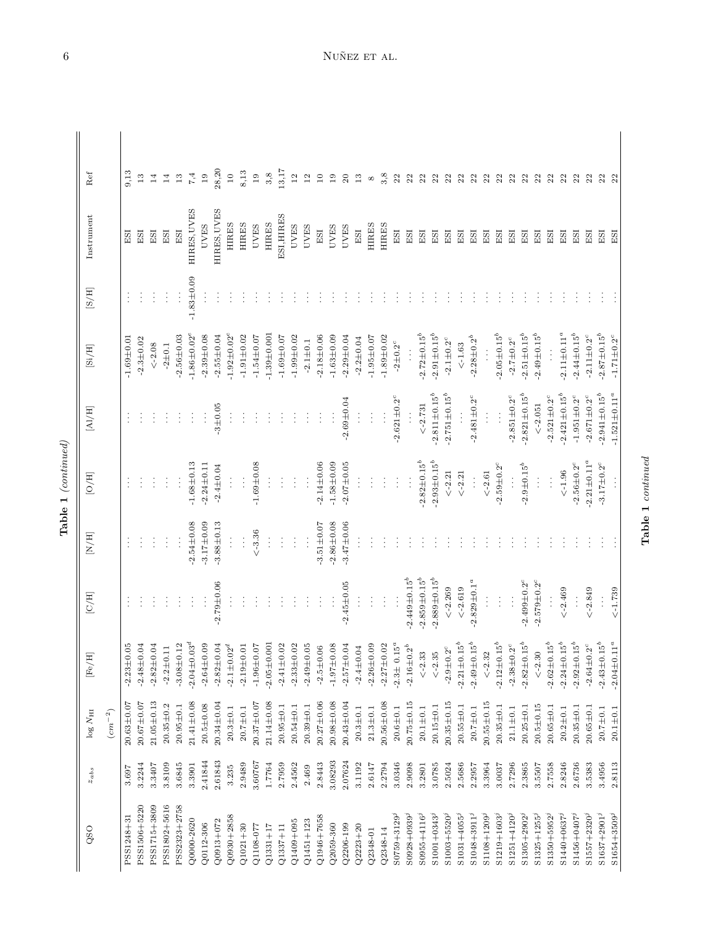| ۱ |  |
|---|--|
| ٣ |  |

| QSO                     | $z_{abs}$ | $log N_{\rm HI}$ | $[{\rm Fe/H}]$                                   | $[{\rm C/H}]$       | $\rm [N/H]$      | [O/H]                                   | $\left[{\rm Al/H}\right]$ | $\left[ \mathrm{Si}/\mathrm{H} \right]$ | $\rm{[S/H]}$   | Instrument   | Ref             |
|-------------------------|-----------|------------------|--------------------------------------------------|---------------------|------------------|-----------------------------------------|---------------------------|-----------------------------------------|----------------|--------------|-----------------|
|                         |           | $(cm^{-2})$      |                                                  |                     |                  |                                         |                           |                                         |                |              |                 |
| PSS1248+31              | 3.697     | $20.63 + 0.07$   | $-2.23 \pm 0.05$                                 |                     |                  |                                         |                           | $-1.69 + 0.01$                          |                | ESI          | 9,13            |
| PSS1506+5220            | 3.2244    | $20.67 \pm 0.07$ | $-2.48 + 0.04$                                   |                     |                  |                                         |                           | $-2.3 + 0.02$                           |                | ESI          | 13              |
| PSS1715+3809            | 3.3407    | $21.05 \pm 0.13$ | $-2.82 \pm 0.04$                                 |                     |                  |                                         |                           | $\leq -2.08$                            | ÷              | ESI          | 14              |
| PSS1802+5616            | 3.8109    | $20.35 \pm 0.2$  | $-2.2 \pm 0.11$                                  |                     |                  | $\vdots$                                |                           | $-2 + 0.1$                              | ÷              | ESI          | 14              |
| PSS2323+2758            | 3.6845    | $20.95 \pm 0.1$  | 12<br>$-3.08 \pm 0.$                             |                     |                  | $\vdots$                                |                           | $-2.56 \pm 0.03$                        | $\vdots$       | ESI          | $13\,$          |
| Q0000-2620              | 3.3901    | $21.41 \pm 0.08$ | $-2.04 \pm 0.03$ <sup>d</sup>                    |                     | $-2.54 \pm 0.08$ | $-1.68 \pm 0.13$                        | $\vdots$                  | $-1.86 \pm 0.02$ <sup>e</sup>           | $-1.83 + 0.09$ | HIRES, UVES  | $\!7,4$         |
| Q0112-306               | 2.41844   | $20.5 + 0.08$    | $-2.64 \pm 0.09$                                 | ÷                   | $-3.17 \pm 0.09$ | $-2.24 \pm 0.11$                        | $\frac{1}{2}$             | $-2.39 + 0.08$                          |                | <b>UVES</b>  | 19              |
| $Q0913 + 072$           | 2.61843   | $20.34 \pm 0.04$ | $-2.82 \pm 0.04$                                 | $-2.79 \pm 0.06$    | $-3.88 + 0.13$   | $-2.4 \pm 0.04$                         | $-3 + 0.05$               | $-2.55 \pm 0.04$                        |                | HIRES, UVES  | 28,20           |
| $Q0930 + 2858$          | 3.235     | $20.3 \pm 0.1$   | $-2.1 \pm 0.02^d$                                |                     | $\vdots$         | $\vdots$                                |                           | $-1.92 \pm 0.02$ <sup>e</sup>           |                | <b>HIRES</b> | $10$            |
| $Q1021+30$              | 2.9489    | $20.7 + 0.1$     | $-2.19 \pm 0.01$                                 |                     | $\vdots$         | $\vdots$                                |                           | $-1.91 \pm 0.02$                        |                | <b>HIRES</b> | 8,13            |
| Q1108-077               | 3.60767   | $20.37 \pm 0.07$ | $-1.96 \pm 0.07$                                 |                     | $\leq -3.36$     | $-1.69 + 0.08$                          |                           | $-1.54 \pm 0.07$                        |                | <b>UVES</b>  | 19              |
| $Q1331 + 17$            | 1.7764    | $21.14 \pm 0.08$ | $-2.05 \pm 0.001$                                |                     |                  |                                         |                           | $-1.39 + 0.001$                         |                | <b>HIRES</b> | 3,8             |
| $Q1337 + 11$            | 2.7959    | $20.95 \pm 0.1$  | $-2.41 \pm 0.02$                                 |                     | $\vdots$         |                                         |                           | $-1.69 + 0.07$                          |                | ESI, HIRES   | 13,17           |
| $Q1409 + 095$           | 2.4562    | $20.54 \pm 0.1$  | $-2.33 \pm 0.02$                                 |                     |                  |                                         |                           | $-1.99 + 0.02$                          |                | <b>UVES</b>  | 12              |
| $Q1451 + 123$           | 2.469     | $20.39 + 0.1$    | $-2.49 \pm 0.05$                                 |                     | ÷                | $\vdots$                                |                           | $-2.1 \pm 0.1$                          |                | <b>UVES</b>  | 12              |
| Q1946+7658              | 2.8443    | $20.27 \pm 0.06$ | $-2.5 \pm 0.06$                                  |                     | $-3.51 \pm 0.07$ | $-2.14 \pm 0.06$                        |                           | $-2.18 + 0.06$                          |                | ESI          | $\overline{10}$ |
| Q2059-360               | 3.08293   | $20.98 + 0.08$   | $-1.97 \pm 0.08$                                 | ÷                   | $-2.86 \pm 0.08$ | $-1.58 + 0.09$                          |                           | $-1.63 + 0.09$                          |                | <b>UVES</b>  | $\overline{1}$  |
| Q2206-199               | 2.07624   | $20.43 + 0.04$   | $-2.57 \pm 0.04$                                 | $-2.45 + 0.05$      | $-3.47 \pm 0.06$ | $-2.07 \pm 0.05$                        | $-2.69 + 0.04$            | $-2.29 \pm 0.04$                        |                | <b>UVES</b>  | 20              |
| $Q2223 + 20$            | 3.1192    | $20.3 + 0.1$     | $-2.4 \pm 0.04$                                  |                     |                  |                                         |                           | $-2.2 \pm 0.04$                         |                | ESI          | 13              |
| Q2348-01                | 2.6147    | $21.3 \pm 0.1$   | $-2.26 \pm 0.09$                                 |                     |                  |                                         | $\vdots$                  | $-1.95 \pm 0.07$                        |                | <b>HIRES</b> | $^{\circ}$      |
| Q2348-14                | 2.2794    | $20.56 \pm 0.08$ | $-2.27 \pm 0.02$                                 |                     |                  |                                         | $\vdots$                  | $-1.89 + 0.02$                          |                | <b>HIRES</b> | 3,8             |
| $S0759 + 3129^{j}$      | 3.0346    | $20.6 + 0.1$     | $-2.3 \pm 0.15^a$                                | ÷                   |                  |                                         | $-2.621 \pm 0.2^c$        | $\textnormal{-}2\!\pm\!0.2^c$           |                | ESI          | 22              |
| $S0928 + 0939j$         | 2.9098    | $20.75 \pm 0.15$ | $\text{-}2.16\text{}\pm\text{0.2}^b$             | $-2.449 \pm 0.15^b$ |                  | $\vdots$                                |                           |                                         |                | ESI          | 22              |
| $S0955 + 4116^{j}$      | 3.2801    | $20.1 + 0.1$     | $\leq -2.33$                                     | $-2.859 \pm 0.15^b$ |                  | $-2.82 \pm 0.15^b$                      | $\lt -2.731$              | $-2.72 \pm 0.15^b$                      |                | ESI          | 22              |
| $$1001 + 0343^j$        | 3.0785    | $20.15 \pm 0.1$  | $\leq -2.35$                                     | $-2.889 \pm 0.15^b$ |                  | $-2.93 \pm 0.15^b$                      | $-2.811 \pm 0.15^b$       | $-2.91 \pm 0.15^b$                      |                | ESI          | 22              |
| $$1003 + 5520j$         | 2.5024    | $20.35 \pm 0.15$ | Ó<br>$-2.9 \pm 0.2$                              | $<-2.269$           |                  | $\le -2.21$                             | $-2.751 \pm 0.15^b$       | $\text{-}2.1\!\pm\!0.2^c$               |                | ESI          | 22              |
| $$1031 + 4055^j$        | 2.5686    | $20.55 \pm 0.1$  | $-2.21 \pm 0.15^b$                               | $\lt -2.619$        |                  | $\le -2.21$                             |                           | $\le -1.63$                             |                | ESI          | 22              |
| $$1048 + 3911^j$        | 2.2957    | $20.7 \pm 0.1$   | $\mathfrak{g}^{\mathfrak{b}}$<br>$-2.49 \pm 0.1$ | $-2.829 \pm 0.1^a$  |                  | $\vdots$                                | $-2.481 \pm 0.2^c$        | $-2.28 \pm 0.2^b$                       |                | ESI          | 22              |
| S1108+1209 <sup>j</sup> | 3.3964    | $20.55 \pm 0.15$ | $<-2.32$                                         |                     |                  | $<\!\!-\!2.61$                          | $\vdots$                  |                                         |                | ESI          | 22              |
| $$1219 + 1603$          | 3.0037    | $20.35 \pm 0.1$  | $-2.12 \pm 0.15^b$                               | $\vdots$            |                  | $-2.59 \pm 0.2^{\circ}$                 |                           | $-2.05 \pm 0.15^b$                      |                | ESI          | 22              |
| $S1251 + 4120j$         | 2.7296    | $21.1 + 0.1$     | $-2.38 \pm 0.2$ <sup>c</sup>                     | $\vdots$            |                  | $\vdots$                                | $-2.851 \pm 0.2^c$        | $-2.7\pm0.2^c$                          |                | ESI          | 22              |
| $$1305 + 2902^j$        | 2.3865    | $20.25 \pm 0.1$  | $-2.82 \pm 0.15^b$                               | $2.499\pm0.2^c$     |                  | $-2.9 \pm 0.15^b$                       | $-2.821 \pm 0.15^b$       | $-2.51 \pm 0.15^b$                      |                | ESI          | 22              |
| $S1325 + 1255^j$        | 3.5507    | $20.5 + 0.15$    | $\leftarrow 2.30$                                | $-2.579 \pm 0.2^c$  |                  | $\vdots$                                | $\leq -2.051$             | $-2.49 \pm 0.15^b$                      |                | ESI          | 22              |
| $S1350 + 5952^{j}$      | 2.7558    | $20.65 \pm 0.1$  | $-2.62 \pm 0.15^b$                               |                     |                  | $\frac{1}{2}$                           | $-2.521 \pm 0.2^c$        |                                         |                | ESI          | 22              |
| $S1440 + 0637^{j}$      | 2.8246    | $20.2 \pm 0.1$   | $-2.24 \pm 0.15^b$                               | $<-2.469$           |                  | $<$ -1.96 $\,$                          | $-2.421 \pm 0.15^b$       | $-2.11 \pm 0.11^a$                      |                | ESI          | 22              |
| $$1456 + 0407j$         | 2.6736    | $20.35 \pm 0.1$  | $-2.92 \pm 0.15^b$                               | $\vdots$            |                  | $2.56\pm0.2^c$                          | $-1.951\pm0.2^c$          | $-2.44 \pm 0.15^b$                      |                | ESI          | 22              |
| $S1557 + 2320j$         | 3.5383    | $20.65 \pm 0.1$  | $-2.64 \pm 0.2$ <sup>c</sup>                     | $< -2.849$          |                  | $-2.21 \pm 0.11^a$                      | $-2.671 \pm 0.2^c$        | $-2.11 \pm 0.2^c$                       |                | ESI          | 22              |
| $S1637 + 2901j$         | 3.4956    | $20.7 \pm 0.1$   | $-2.43 \pm 0.15^b$                               |                     |                  | $\text{-}3.17\textcolor{red}{\pm}0.2^c$ | $-2.941 \pm 0.15^b$       | $-2.87 \pm 0.15^b$                      |                | ESI          | 22              |
| $S1654 + 3509j$         | 2.8113    | $20.1 + 0.1$     | $-2.04 \pm 0.11^a$                               | $<-1.739$           |                  | $\vdots$                                | $-1.521 \pm 0.11^a$       | $-1.71 \pm 0.2$ <sup>c</sup>            |                | ESI          | 22              |

Table 1 continued

Table 1 continued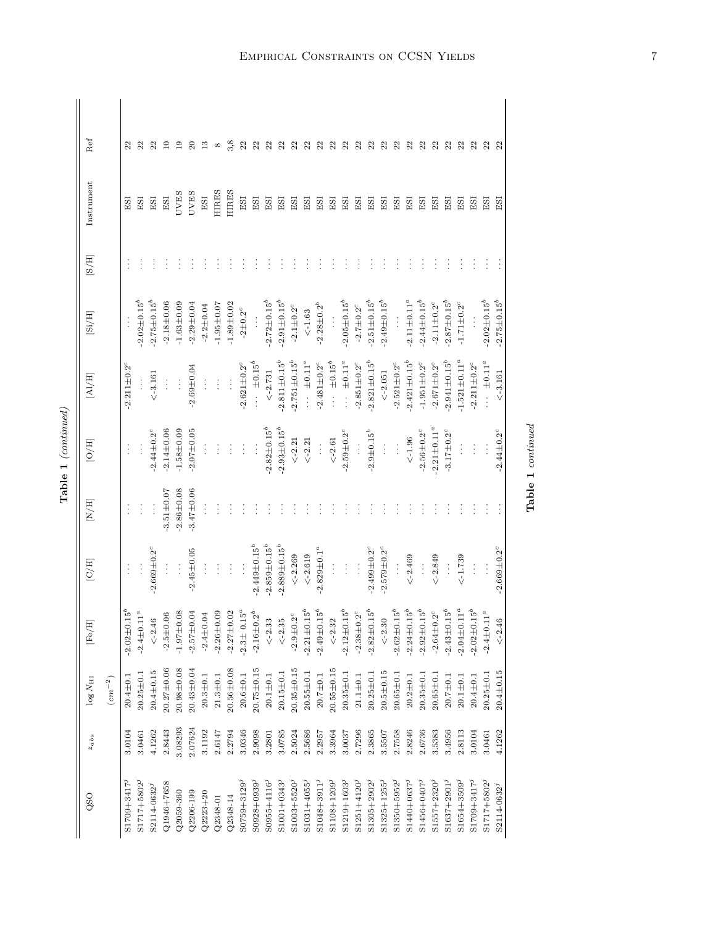| ╮ |
|---|
| ١ |
| î |

| Ref                                  |                         | 23                 | 22                 | 22                      | $\overline{10}$  | $\overline{19}$  | $\Omega$                     | ≌                   | ${}^{\infty}$    | 3,8              | 22                      | 22                    | 22                  | ೫                           | ೫                                                   | 22                               | 25                            | 25                  | 25                               | ೫                            | 22                  | 22                       | 22                       | $^{22}$             | 25                           | $^{22}$                       | 22                           | ೫                   | 25                 | 25                               | $\Omega$                     |
|--------------------------------------|-------------------------|--------------------|--------------------|-------------------------|------------------|------------------|------------------------------|---------------------|------------------|------------------|-------------------------|-----------------------|---------------------|-----------------------------|-----------------------------------------------------|----------------------------------|-------------------------------|---------------------|----------------------------------|------------------------------|---------------------|--------------------------|--------------------------|---------------------|------------------------------|-------------------------------|------------------------------|---------------------|--------------------|----------------------------------|------------------------------|
| Instrument                           |                         | ESI                | ESI                | ESI                     | ESI              | <b>UVES</b>      | <b>UVES</b>                  | ESI                 | <b>HIRES</b>     | <b>HIRES</b>     | ESI                     | ESI                   | ESI                 | ESI                         | ESI                                                 | ESI                              | ESI                           | $\overline{E}$      | ESI                              | ESI                          | ESI                 | ESI                      | ESI                      | ESI                 | ESI                          | ESI                           | ESI                          | ESI                 | ESI                | ESI                              | ESI                          |
| $\rm [S/H]$                          |                         |                    |                    |                         |                  |                  |                              |                     |                  |                  |                         |                       |                     |                             |                                                     |                                  |                               |                     |                                  |                              |                     |                          |                          |                     |                              |                               |                              |                     |                    |                                  |                              |
| [Si/H]                               |                         | $\vdots$           | $2.02 \pm 0.15^b$  | $-2.75 \pm 0.15^b$      | $-2.18 + 0.06$   | $-1.63 \pm 0.09$ | $-2.29 \pm 0.04$             | $-2.2 \pm 0.04$     | $-1.95 \pm 0.07$ | $-1.89 + 0.02$   | $-2\pm0.2^c$            | Ì                     | $-2.72 \pm 0.15^b$  | $-2.91 \pm 0.15^b$          | $\text{-}2.1\!\pm\!0.2^c$                           | $\le -1.63$                      | $-2.28 \pm 0.2^b$             | $\frac{1}{2}$       | $-2.05 \pm 0.15^b$               | $-2.7 \pm 0.2^c$             | $-2.51 \pm 0.15^b$  | $-2.49 \pm 0.15^b$       | $\vdots$                 | $-2.11 \pm 0.11^a$  | $-2.44 \pm 0.15^b$           | $-2.11 \pm 0.2$ <sup>c</sup>  | $-2.87 \pm 0.15^b$           | $-1.71 \pm 0.2^c$   | $\vdots$           | $-2.02 \pm 0.15^b$               | $-2.75 \pm 0.15^b$           |
| [A]/H]                               |                         | $-2.211 \pm 0.2$   | $\vdots$           | $<-3.161$               | $\vdots$         | $\vdots$         | $-2.69 \pm 0.04$             | $\vdots$            | $\vdots$         | $\vdots$         | $-2.621 \pm 0.2^c$      | $\cdots$ $\pm 0.15^b$ | $\lt-2.731$         | $-2.811 + 0.15^{b}$         | $-2.751 \pm 0.15^b$                                 | $\cdots$ $\pm$ 0.11 <sup>a</sup> | $-2.481 \pm 0.2$ <sup>c</sup> | $\cdots \pm 0.15^b$ | $\cdots$ $\pm$ 0.11 <sup>a</sup> | $-2.851 \pm 0.2^c$           | $-2.821 \pm 0.15^b$ | $\leq -2.051$            | $-2.521 \pm 0.2^{\circ}$ | $-2.421 \pm 0.15^b$ | $-1.951 \pm 0.2^c$           | $-2.671 \pm 0.2$ <sup>c</sup> | $-2.941 \pm 0.15^b$          | $-1.521 \pm 0.11^a$ | $-2.211 \pm 0.2^c$ | $\cdots$ $\pm$ 0.11 <sup>a</sup> | $< -3.161$                   |
| [O/H]                                |                         | $\vdots$           | $\vdots$           | $2.44 \pm 0.2^c$        | $-2.14 \pm 0.06$ | $-1.58 \pm 0.09$ | $-2.07 \pm 0.05$             |                     |                  |                  | $\vdots$                | $\vdots$              | $-2.82 \pm 0.15^b$  | $-2.93 \pm 0.15^b$          | $\lt-2.21$                                          | $\leq -2.21$                     | $\vdots$                      | $\leq -2.61$        | $-2.59 \pm 0.2$                  | $\frac{1}{2}$                | $-2.9 \pm 0.15^b$   | $\vdots$                 | $\vdots$                 | $<$ -1.96 $\,$      | $-2.56 \pm 0.2$ <sup>c</sup> | $-2.21 \pm 0.11^a$            | $-3.17 \pm 0.2$ <sup>c</sup> | $\vdots$            | $\vdots$           | $\vdots$                         | $-2.44 \pm 0.2$ <sup>c</sup> |
| $\left[\mathrm{H}/\mathrm{H}\right]$ |                         |                    | $\vdots$           | $\vdots$                | $3.51 \pm 0.07$  | $-2.86 \pm 0.08$ | $-3.47 \pm 0.06$             |                     |                  |                  |                         |                       |                     |                             |                                                     |                                  |                               |                     |                                  |                              |                     |                          |                          |                     |                              |                               |                              |                     |                    |                                  |                              |
| $\rm [C/H]$                          |                         |                    | $\vdots$           | $-2.669 \pm 0.2^c$      | $\vdots$         | $\frac{1}{2}$    | $-2.45 \pm 0.05$             |                     |                  |                  |                         | $2.449 \pm 0.15^b$    | $-2.859 \pm 0.15^b$ | $-2.889 \pm 0.15^{b}$       | $\lt -2.269$                                        | $\leq -2.619$                    | $-2.829 \pm 0.1^a$            | $\vdots$            | $\vdots$                         | $\vdots$                     | $-2.499 \pm 0.2^c$  | $-2.579 \pm 0.2^{\circ}$ | $\vdots$                 | $<-2.469$           | $\frac{1}{2}$                | $<-2.849$                     | $\vdots$                     | $<-1.739$           | $\vdots$           | $\vdots$                         | $-2.669 \pm 0.2^c$           |
| [Fe/H]                               |                         | $-2.02 \pm 0.15^b$ | $-2.4 \pm 0.11^a$  | $<$ -2.46               | $-2.5 \pm 0.06$  | $-1.97 \pm 0.08$ | <b>0.04</b><br>$-2.57 \pm 0$ | 04<br>$-2.4 \pm 0.$ | $-2.26 \pm 0.09$ | $-2.27 \pm 0.02$ | $-2.3 \pm 0.15^{\circ}$ | $-2.16 \pm 0.2^b$     | $\le -2.33$         | $\le -2.35$                 | $\textbf{-2.9} \textcolor{red}{\pm} \textbf{0.2}^c$ | $-2.21 \pm 0.15^b$               | $-2.49 \pm 0.15^b$            | $\le -2.32$         | $-2.12 \pm 0.15^b$               | $-2.38 \pm 0.2$ <sup>c</sup> | $-2.82 \pm 0.15^b$  | $<$ -2.30                | $-2.62 \pm 0.15^b$       | $-2.24 \pm 0.15^b$  | $-2.92 \pm 0.15^b$           | $2^c$<br>$-2.64 \pm 0$        | $-2.43 \pm 0.15^b$           | $-2.04 \pm 0.11^a$  | $-2.02 \pm 0.15^b$ | $11^a$<br>$-2.4 \pm 0.$          | $<-2.46$                     |
| $\log N_{\rm HI}$                    | $\left( cm^{-2}\right)$ | $20.4 + 0.1$       | $20.25 + 0.1$      | $20.4 \pm 0.15$         | $20.27 \pm 0.06$ | $20.98 + 0.08$   | $20.43 + 0.04$               | $20.3 \pm 0.1$      | $21.3 \pm 0.1$   | $20.56 \pm 0.08$ | $20.6 \pm 0.1$          | $20.75 + 0.15$        | $20.1 \pm 0.1$      | $20.15 \pm 0.1$             | $20.35 + 0.15$                                      | $20.55 \pm 0.1$                  | $20.7 \pm 0.1$                | $20.55 + 0.15$      | $20.35 \pm 0.1$                  | $21.1 \pm 0.1$               | $20.25 \pm 0.1$     | $20.5 \pm 0.15$          | $20.65 \pm 0.1$          | $20.2 \pm 0.1$      | $20.35 + 0.1$                | $20.65 + 0.1$                 | $20.7 \pm 0.1$               | $20.1 + 0.1$        | $20.4 \pm 0.1$     | $20.25 \pm 0.1$                  | $20.4 + 0.15$                |
| $z_{abs}$                            |                         | 3.0104             | 3.0461             | 4.1262                  | 2.8443           | 3.08293          | 2.07624                      | 3.1192              | 2.6147           | 2.2794           | 3.0346                  | 2.9098                | 3.2801              | 3.0785                      | 2.5024                                              | 2.5686                           | 2.2957                        | 3.3964              | 3.0037                           | 2.7296                       | 2.3865              | 3.5507                   | 2.7558                   | 2.8246              | 2.6736                       | 3.5383                        | 3.4956                       | 2.8113              | 3.0104             | 3.0461                           | 4.1262                       |
| QSO                                  |                         | S1709+3417         | $S1717 + 5802^{j}$ | S2114-0632 <sup>j</sup> | $Q1946 + 7658$   | $Q2059 - 360$    | Q2206-199                    | $Q2223 + 20$        | $Q2348 - 01$     | $Q2348 - 14$     | $S0759 + 3129^{j}$      | $S0928 + 0939^j$      | $S0955 + 4116j$     | $$1001 + 0343$ <sup>j</sup> | $$1003 + 5520j$                                     | $$1031 + 4055^j$                 | $$1048 + 3911^j$              | $$1108 + 1209j$     | $$1219 + 1603$                   | $S1251 + 4120j$              | $$1305 + 2902^j$    | $S1325 + 1255^j$         | $S1350 + 5952^j$         | $$1440 + 0637^j$    | $$1456 + 0407j$              | $S1557 + 2320j$               | $S1637 + 2901j$              | $$1654 + 3509j$     | $S1709 + 3417j$    | $S1717 + 5802^{j}$               | $S2114 - 0632^{j}$           |

Empirical Constraints on CCSN Yields

Table 1 continued

 ${\bf Table\ 1\ } conditional$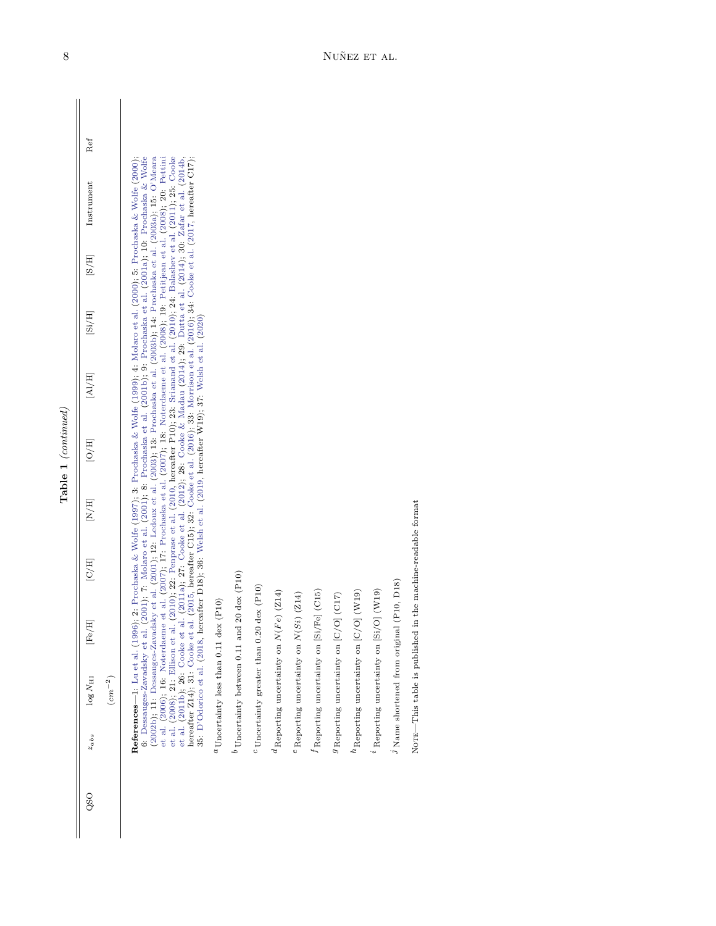| ╮      |
|--------|
| ⊣<br>١ |
| î      |

| QSO | $z_{abs}$ | $\log N_{\rm HI}$                                                                                                                      | $[{\rm Fe/H}]$                                                                                              | $\left[{\rm C/H}\right]$ | $\left[{\rm H/H}\right]$ | $\overline{[H]}$ | [A]/H] | [Si/H] | $\left[\mathrm{B/H}\right]$ | Instrument                                                                                                                                                                                                                                                                                                                                                                                                                                                                                                                                                                                                                                                                                                                                                                                                                                                                                                                                                 | Ref |
|-----|-----------|----------------------------------------------------------------------------------------------------------------------------------------|-------------------------------------------------------------------------------------------------------------|--------------------------|--------------------------|------------------|--------|--------|-----------------------------|------------------------------------------------------------------------------------------------------------------------------------------------------------------------------------------------------------------------------------------------------------------------------------------------------------------------------------------------------------------------------------------------------------------------------------------------------------------------------------------------------------------------------------------------------------------------------------------------------------------------------------------------------------------------------------------------------------------------------------------------------------------------------------------------------------------------------------------------------------------------------------------------------------------------------------------------------------|-----|
|     |           | $\left( cm^{-2}\right)$                                                                                                                |                                                                                                             |                          |                          |                  |        |        |                             |                                                                                                                                                                                                                                                                                                                                                                                                                                                                                                                                                                                                                                                                                                                                                                                                                                                                                                                                                            |     |
|     |           | hereafter Z14); 31: Cooke et al<br>References-1: Lu et al. (1996)<br>6: Dessauges-Zavadsky et al.<br>et al. (2008); 21: Ellison et al. | 35: D'Odorico et al. (2018, hereafter D18); 36: Welsh et al. (2019, hereafter W19); 37: Welsh et al. (2020) |                          |                          |                  |        |        |                             | 2001); 7: Molaro et al. (2001); 8: Prochaska et al. (2001b); 9: Prochaska et al. (2001a); 10: Prochaska & Wolfe<br>(2002b); 11: Dessauges-Zavadsky et al. (2001); 12: Ledoux et al. (2003); 13: Prochaska et al. (2003b); 14: Prochaska et al. (2003a); 15: O'Meara<br>et al. (2006); 16: Noterdaeme et al. (2007); 17: Prochaska et al. (2007); 18: Noterdaeme et al. (2008); 19: Petitjean et al. (2008); 20: Pettini<br>$(2010)$ , 22: Penprase et al. $(2010)$ , hereafter P10), 23: Srianand et al. $(2010)$ ; 24: Balashev et al. $(2011)$ ; 25: Cooke<br>et al. (2011b), 26: Cooke et al. (2011a); 27: Cooke et al. (2012); 28: Cooke & Madau (2014); 29: Dutta et al. (2014); 30: Zafar et al. (2014b,<br>2: Prochaska & Wolfe (1997); 3: Prochaska & Wolfe (1999); 4: Molaro et al. (2000); 5: Prochaska & Wolfe (2000);<br>. (2015, hereafter C15); 32: Cooke et al. (2016); 33: Morrison et al. (2016); 34: Cooke et al. (2017, hereafter C17); |     |
|     |           | $\alpha$ Uncertainty less than 0.11 dex                                                                                                | (P10)                                                                                                       |                          |                          |                  |        |        |                             |                                                                                                                                                                                                                                                                                                                                                                                                                                                                                                                                                                                                                                                                                                                                                                                                                                                                                                                                                            |     |
|     |           |                                                                                                                                        | $^{b}$ Uncertainty between 0.11 and 20 dex (P10)                                                            |                          |                          |                  |        |        |                             |                                                                                                                                                                                                                                                                                                                                                                                                                                                                                                                                                                                                                                                                                                                                                                                                                                                                                                                                                            |     |
|     |           |                                                                                                                                        | $c$ Uncertainty greater than 0.20 dex (P10)                                                                 |                          |                          |                  |        |        |                             |                                                                                                                                                                                                                                                                                                                                                                                                                                                                                                                                                                                                                                                                                                                                                                                                                                                                                                                                                            |     |
|     |           |                                                                                                                                        | $^d$ Reporting uncertainty on $N(Fe)\ (Z14)$                                                                |                          |                          |                  |        |        |                             |                                                                                                                                                                                                                                                                                                                                                                                                                                                                                                                                                                                                                                                                                                                                                                                                                                                                                                                                                            |     |
|     |           |                                                                                                                                        | $e$ Reporting uncertainty on $N(Si)$ (Z14)                                                                  |                          |                          |                  |        |        |                             |                                                                                                                                                                                                                                                                                                                                                                                                                                                                                                                                                                                                                                                                                                                                                                                                                                                                                                                                                            |     |
|     |           |                                                                                                                                        | J Reporting uncertainty on [Si/Fe] (C15)                                                                    |                          |                          |                  |        |        |                             |                                                                                                                                                                                                                                                                                                                                                                                                                                                                                                                                                                                                                                                                                                                                                                                                                                                                                                                                                            |     |
|     |           |                                                                                                                                        | $9$ Reporting uncertainty on $[C/O]$ (C17)                                                                  |                          |                          |                  |        |        |                             |                                                                                                                                                                                                                                                                                                                                                                                                                                                                                                                                                                                                                                                                                                                                                                                                                                                                                                                                                            |     |
|     |           | ${}^h\mathrm{Reporting}$ uncertainty on [C/O]                                                                                          | $(\rm W19)$                                                                                                 |                          |                          |                  |        |        |                             |                                                                                                                                                                                                                                                                                                                                                                                                                                                                                                                                                                                                                                                                                                                                                                                                                                                                                                                                                            |     |
|     |           |                                                                                                                                        | $^2$ Reporting uncertainty on [Si/O] (W19)                                                                  |                          |                          |                  |        |        |                             |                                                                                                                                                                                                                                                                                                                                                                                                                                                                                                                                                                                                                                                                                                                                                                                                                                                                                                                                                            |     |
|     |           | $\eta$ Name shortened from original (                                                                                                  | P10, D18)                                                                                                   |                          |                          |                  |        |        |                             |                                                                                                                                                                                                                                                                                                                                                                                                                                                                                                                                                                                                                                                                                                                                                                                                                                                                                                                                                            |     |

Note—This table is published in the machine-readable format

 $\textsc{Norm}\xspace-\textsc{This}$  table is published in the machine-readable format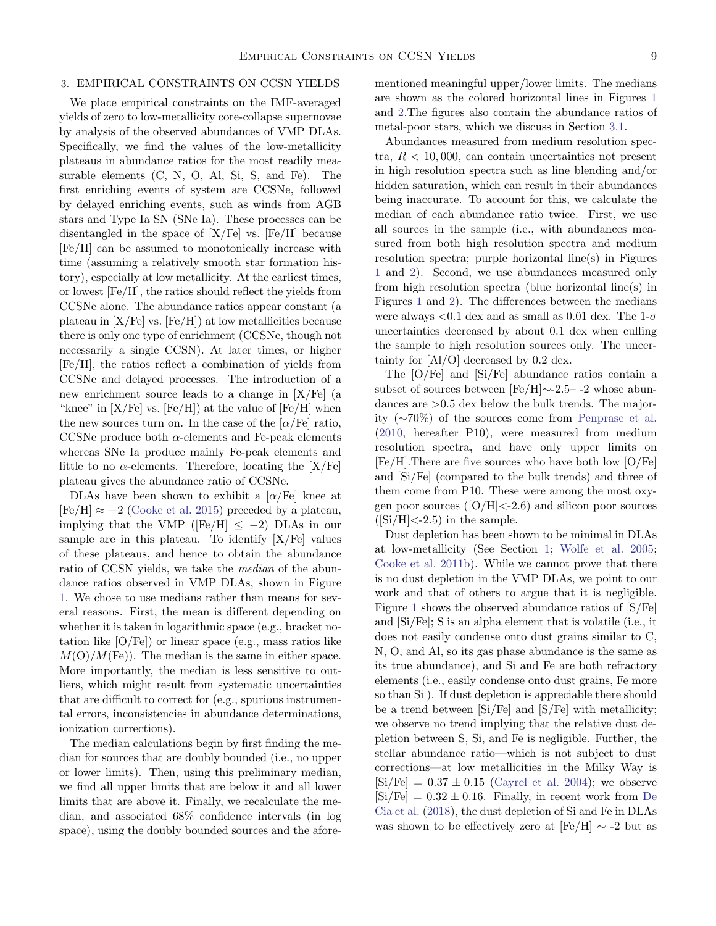## <span id="page-8-0"></span>3. EMPIRICAL CONSTRAINTS ON CCSN YIELDS

We place empirical constraints on the IMF-averaged yields of zero to low-metallicity core-collapse supernovae by analysis of the observed abundances of VMP DLAs. Specifically, we find the values of the low-metallicity plateaus in abundance ratios for the most readily measurable elements (C, N, O, Al, Si, S, and Fe). The first enriching events of system are CCSNe, followed by delayed enriching events, such as winds from AGB stars and Type Ia SN (SNe Ia). These processes can be disentangled in the space of  $[X/Fe]$  vs.  $[Fe/H]$  because [Fe/H] can be assumed to monotonically increase with time (assuming a relatively smooth star formation history), especially at low metallicity. At the earliest times, or lowest [Fe/H], the ratios should reflect the yields from CCSNe alone. The abundance ratios appear constant (a plateau in  $[X/Fe]$  vs.  $[Fe/H]$  at low metallicities because there is only one type of enrichment (CCSNe, though not necessarily a single CCSN). At later times, or higher [Fe/H], the ratios reflect a combination of yields from CCSNe and delayed processes. The introduction of a new enrichment source leads to a change in [X/Fe] (a "knee" in  $[X/Fe]$  vs.  $[Fe/H]$  at the value of  $[Fe/H]$  when the new sources turn on. In the case of the  $\alpha$ /Fe] ratio, CCSNe produce both  $\alpha$ -elements and Fe-peak elements whereas SNe Ia produce mainly Fe-peak elements and little to no  $\alpha$ -elements. Therefore, locating the [X/Fe] plateau gives the abundance ratio of CCSNe.

DLAs have been shown to exhibit a  $\alpha$ /Fe] knee at  $[Fe/H] \approx -2$  [\(Cooke et al.](#page-21-6) [2015\)](#page-21-6) preceded by a plateau, implying that the VMP ( $[Fe/H] \leq -2$ ) DLAs in our sample are in this plateau. To identify  $[X/Fe]$  values of these plateaus, and hence to obtain the abundance ratio of CCSN yields, we take the median of the abundance ratios observed in VMP DLAs, shown in Figure [1.](#page-9-0) We chose to use medians rather than means for several reasons. First, the mean is different depending on whether it is taken in logarithmic space (e.g., bracket notation like  $[O/Fe]$  or linear space (e.g., mass ratios like  $M(O)/M$ (Fe)). The median is the same in either space. More importantly, the median is less sensitive to outliers, which might result from systematic uncertainties that are difficult to correct for (e.g., spurious instrumental errors, inconsistencies in abundance determinations, ionization corrections).

The median calculations begin by first finding the median for sources that are doubly bounded (i.e., no upper or lower limits). Then, using this preliminary median, we find all upper limits that are below it and all lower limits that are above it. Finally, we recalculate the median, and associated 68% confidence intervals (in log space), using the doubly bounded sources and the aforementioned meaningful upper/lower limits. The medians are shown as the colored horizontal lines in Figures [1](#page-9-0) and [2.](#page-11-1)The figures also contain the abundance ratios of metal-poor stars, which we discuss in Section [3.1.](#page-10-0)

Abundances measured from medium resolution spectra,  $R < 10,000$ , can contain uncertainties not present in high resolution spectra such as line blending and/or hidden saturation, which can result in their abundances being inaccurate. To account for this, we calculate the median of each abundance ratio twice. First, we use all sources in the sample (i.e., with abundances measured from both high resolution spectra and medium resolution spectra; purple horizontal line(s) in Figures [1](#page-9-0) and [2\)](#page-11-1). Second, we use abundances measured only from high resolution spectra (blue horizontal line(s) in Figures [1](#page-9-0) and [2\)](#page-11-1). The differences between the medians were always  $< 0.1$  dex and as small as 0.01 dex. The 1- $\sigma$ uncertainties decreased by about 0.1 dex when culling the sample to high resolution sources only. The uncertainty for [Al/O] decreased by 0.2 dex.

The [O/Fe] and [Si/Fe] abundance ratios contain a subset of sources between [Fe/H]∼-2.5– -2 whose abundances are >0.5 dex below the bulk trends. The majority (∼70%) of the sources come from [Penprase et al.](#page-22-20) [\(2010,](#page-22-20) hereafter P10), were measured from medium resolution spectra, and have only upper limits on [Fe/H].There are five sources who have both low [O/Fe] and [Si/Fe] (compared to the bulk trends) and three of them come from P10. These were among the most oxygen poor sources  $([O/H] < -2.6)$  and silicon poor sources  $([Si/H] < -2.5)$  in the sample.

Dust depletion has been shown to be minimal in DLAs at low-metallicity (See Section [1;](#page-0-0) [Wolfe et al.](#page-23-9) [2005;](#page-23-9) [Cooke et al.](#page-20-3) [2011b\)](#page-20-3). While we cannot prove that there is no dust depletion in the VMP DLAs, we point to our work and that of others to argue that it is negligible. Figure [1](#page-9-0) shows the observed abundance ratios of [S/Fe] and [Si/Fe]; S is an alpha element that is volatile (i.e., it does not easily condense onto dust grains similar to C, N, O, and Al, so its gas phase abundance is the same as its true abundance), and Si and Fe are both refractory elements (i.e., easily condense onto dust grains, Fe more so than Si ). If dust depletion is appreciable there should be a trend between [Si/Fe] and [S/Fe] with metallicity; we observe no trend implying that the relative dust depletion between S, Si, and Fe is negligible. Further, the stellar abundance ratio—which is not subject to dust corrections—at low metallicities in the Milky Way is  $[Si/Fe] = 0.37 \pm 0.15$  [\(Cayrel et al.](#page-20-15) [2004\)](#page-20-15); we observe  $[Si/Fe] = 0.32 \pm 0.16$ . Finally, in recent work from [De](#page-21-16) [Cia et al.](#page-21-16) [\(2018\)](#page-21-16), the dust depletion of Si and Fe in DLAs was shown to be effectively zero at  $[Fe/H] \sim -2$  but as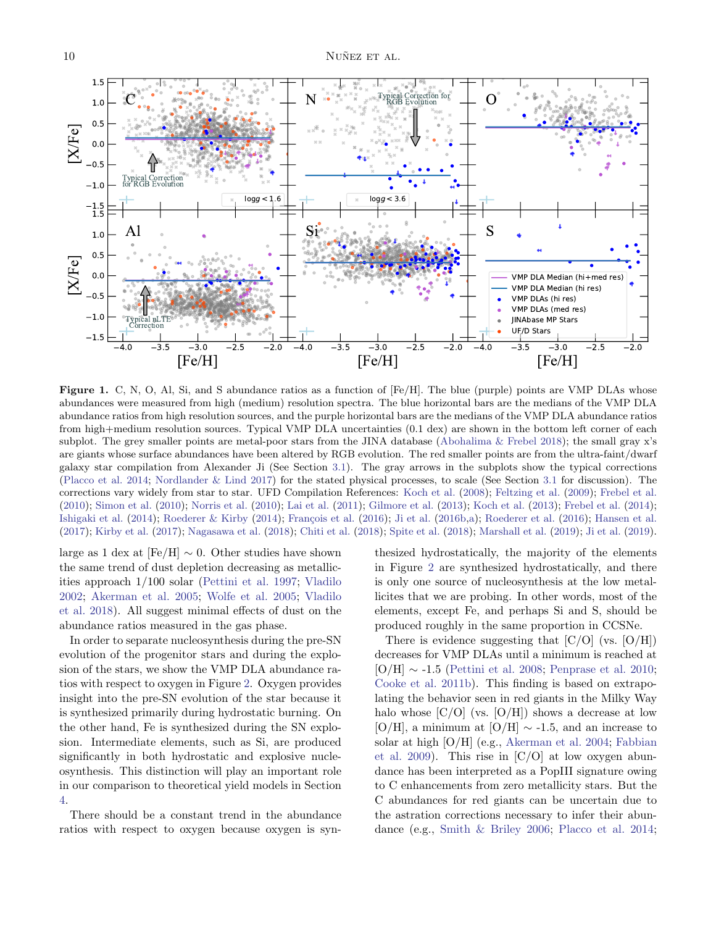

<span id="page-9-0"></span>Figure 1. C, N, O, Al, Si, and S abundance ratios as a function of [Fe/H]. The blue (purple) points are VMP DLAs whose abundances were measured from high (medium) resolution spectra. The blue horizontal bars are the medians of the VMP DLA abundance ratios from high resolution sources, and the purple horizontal bars are the medians of the VMP DLA abundance ratios from high+medium resolution sources. Typical VMP DLA uncertainties (0.1 dex) are shown in the bottom left corner of each subplot. The grey smaller points are metal-poor stars from the JINA database [\(Abohalima & Frebel](#page-20-16) [2018\)](#page-20-16); the small gray x's are giants whose surface abundances have been altered by RGB evolution. The red smaller points are from the ultra-faint/dwarf galaxy star compilation from Alexander Ji (See Section [3.1\)](#page-10-0). The gray arrows in the subplots show the typical corrections [\(Placco et al.](#page-22-35) [2014;](#page-22-35) [Nordlander & Lind](#page-22-4) [2017\)](#page-22-4) for the stated physical processes, to scale (See Section [3.1](#page-10-0) for discussion). The corrections vary widely from star to star. UFD Compilation References: [Koch et al.](#page-21-17) [\(2008\)](#page-21-17); [Feltzing et al.](#page-21-18) [\(2009\)](#page-21-18); [Frebel et al.](#page-21-19) [\(2010\)](#page-21-19); [Simon et al.](#page-23-18) [\(2010\)](#page-23-18); [Norris et al.](#page-22-36) [\(2010\)](#page-22-36); [Lai et al.](#page-22-37) [\(2011\)](#page-22-37); [Gilmore et al.](#page-21-20) [\(2013\)](#page-21-20); [Koch et al.](#page-21-21) [\(2013\)](#page-21-21); [Frebel et al.](#page-21-22) [\(2014\)](#page-21-22); [Ishigaki et al.](#page-21-23)  $(2014)$ ; [Roederer & Kirby](#page-23-19)  $(2014)$ ; François et al.  $(2016)$ ; [Ji et al.](#page-21-25)  $(2016b,a)$  $(2016b,a)$ ; [Roederer et al.](#page-23-20)  $(2016)$ ; [Hansen et al.](#page-21-27) [\(2017\)](#page-21-27); [Kirby et al.](#page-21-28) [\(2017\)](#page-21-28); [Nagasawa et al.](#page-22-38) [\(2018\)](#page-22-38); [Chiti et al.](#page-20-17) [\(2018\)](#page-20-17); [Spite et al.](#page-23-21) [\(2018\)](#page-23-21); [Marshall et al.](#page-22-39) [\(2019\)](#page-22-39); [Ji et al.](#page-21-29) [\(2019\)](#page-21-29).

large as 1 dex at  $[Fe/H] \sim 0$ . Other studies have shown the same trend of dust depletion decreasing as metallicities approach 1/100 solar [\(Pettini et al.](#page-22-40) [1997;](#page-22-40) [Vladilo](#page-23-22) [2002;](#page-23-22) [Akerman et al.](#page-20-18) [2005;](#page-20-18) [Wolfe et al.](#page-23-9) [2005;](#page-23-9) [Vladilo](#page-23-23) [et al.](#page-23-23) [2018\)](#page-23-23). All suggest minimal effects of dust on the abundance ratios measured in the gas phase.

In order to separate nucleosynthesis during the pre-SN evolution of the progenitor stars and during the explosion of the stars, we show the VMP DLA abundance ratios with respect to oxygen in Figure [2.](#page-11-1) Oxygen provides insight into the pre-SN evolution of the star because it is synthesized primarily during hydrostatic burning. On the other hand, Fe is synthesized during the SN explosion. Intermediate elements, such as Si, are produced significantly in both hydrostatic and explosive nucleosynthesis. This distinction will play an important role in our comparison to theoretical yield models in Section [4.](#page-11-0)

There should be a constant trend in the abundance ratios with respect to oxygen because oxygen is synthesized hydrostatically, the majority of the elements in Figure [2](#page-11-1) are synthesized hydrostatically, and there is only one source of nucleosynthesis at the low metallicites that we are probing. In other words, most of the elements, except Fe, and perhaps Si and S, should be produced roughly in the same proportion in CCSNe.

There is evidence suggesting that  $[C/O]$  (vs.  $[O/H]$ ) decreases for VMP DLAs until a minimum is reached at [O/H] ∼ -1.5 [\(Pettini et al.](#page-22-21) [2008;](#page-22-21) [Penprase et al.](#page-22-20) [2010;](#page-22-20) [Cooke et al.](#page-20-3) [2011b\)](#page-20-3). This finding is based on extrapolating the behavior seen in red giants in the Milky Way halo whose  $[C/O]$  (vs.  $[O/H]$ ) shows a decrease at low [O/H], a minimum at [O/H]  $\sim$  -1.5, and an increase to solar at high [O/H] (e.g., [Akerman et al.](#page-20-19) [2004;](#page-20-19) [Fabbian](#page-21-30) [et al.](#page-21-30) [2009\)](#page-21-30). This rise in  $[C/O]$  at low oxygen abundance has been interpreted as a PopIII signature owing to C enhancements from zero metallicity stars. But the C abundances for red giants can be uncertain due to the astration corrections necessary to infer their abundance (e.g., [Smith & Briley](#page-23-24) [2006;](#page-23-24) [Placco et al.](#page-22-35) [2014;](#page-22-35)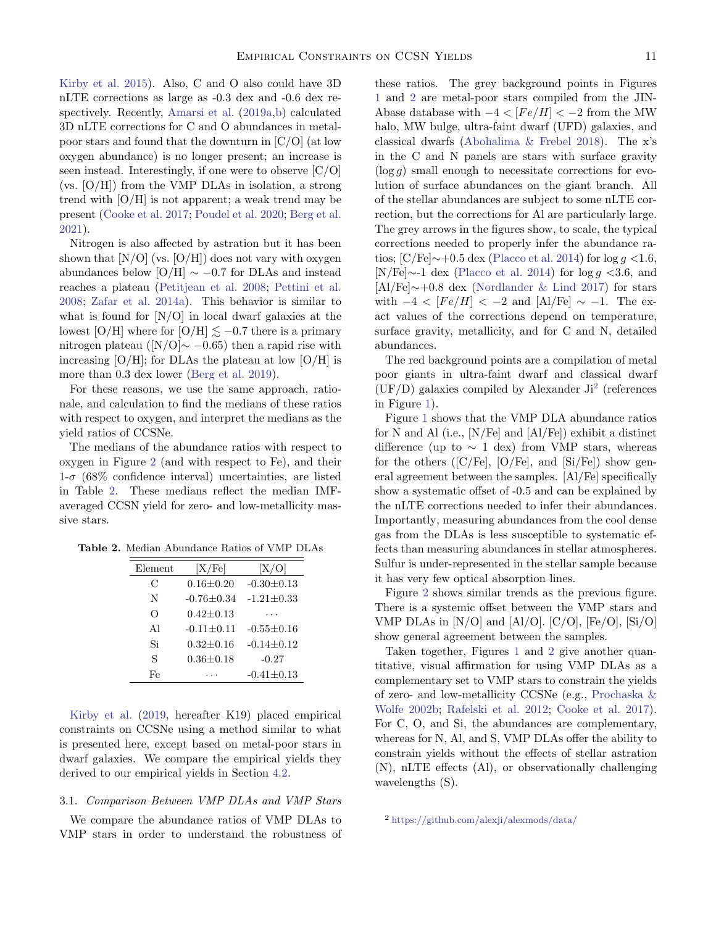[Kirby et al.](#page-21-31) [2015\)](#page-21-31). Also, C and O also could have 3D nLTE corrections as large as -0.3 dex and -0.6 dex respectively. Recently, [Amarsi et al.](#page-20-20) [\(2019a,](#page-20-20)[b\)](#page-20-1) calculated 3D nLTE corrections for C and O abundances in metalpoor stars and found that the downturn in [C/O] (at low oxygen abundance) is no longer present; an increase is seen instead. Interestingly, if one were to observe [C/O] (vs. [O/H]) from the VMP DLAs in isolation, a strong trend with  $[O/H]$  is not apparent; a weak trend may be present [\(Cooke et al.](#page-21-5) [2017;](#page-21-5) [Poudel et al.](#page-22-41) [2020;](#page-22-41) [Berg et al.](#page-20-21) [2021\)](#page-20-21).

Nitrogen is also affected by astration but it has been shown that  $[N/O]$  (vs.  $[O/H]$ ) does not vary with oxygen abundances below [O/H]  $\sim -0.7$  for DLAs and instead reaches a plateau [\(Petitjean et al.](#page-22-22) [2008;](#page-22-22) [Pettini et al.](#page-22-21) [2008;](#page-22-21) [Zafar et al.](#page-23-25) [2014a\)](#page-23-25). This behavior is similar to what is found for [N/O] in local dwarf galaxies at the lowest [O/H] where for [O/H]  $\leq -0.7$  there is a primary nitrogen plateau ( $[N/O]$ ∼ −0.65) then a rapid rise with increasing  $[O/H]$ ; for DLAs the plateau at low  $[O/H]$  is more than 0.3 dex lower [\(Berg et al.](#page-20-22) [2019\)](#page-20-22).

For these reasons, we use the same approach, rationale, and calculation to find the medians of these ratios with respect to oxygen, and interpret the medians as the yield ratios of CCSNe.

The medians of the abundance ratios with respect to oxygen in Figure [2](#page-11-1) (and with respect to Fe), and their  $1-\sigma$  (68% confidence interval) uncertainties, are listed in Table [2.](#page-10-1) These medians reflect the median IMFaveraged CCSN yield for zero- and low-metallicity massive stars.

Table 2. Median Abundance Ratios of VMP DLAs

<span id="page-10-1"></span>

| Element  | [X/Fe]            | X/O              |
|----------|-------------------|------------------|
| С        | $0.16 \pm 0.20$   | $-0.30 \pm 0.13$ |
| N        | $-0.76 + 0.34$    | $-1.21 \pm 0.33$ |
| $\Omega$ | $0.42 \pm 0.13$   |                  |
| Αl       | $-0.11 \pm 0.11$  | $-0.55 \pm 0.16$ |
| Si       | $0.32 + 0.16$     | $-0.14 \pm 0.12$ |
| S        | $0.36 {\pm} 0.18$ | $-0.27$          |
| Fe       |                   | $-0.41 \pm 0.13$ |

[Kirby et al.](#page-21-2) [\(2019,](#page-21-2) hereafter K19) placed empirical constraints on CCSNe using a method similar to what is presented here, except based on metal-poor stars in dwarf galaxies. We compare the empirical yields they derived to our empirical yields in Section [4.2.](#page-14-1)

## <span id="page-10-0"></span>3.1. Comparison Between VMP DLAs and VMP Stars

We compare the abundance ratios of VMP DLAs to VMP stars in order to understand the robustness of these ratios. The grey background points in Figures [1](#page-9-0) and [2](#page-11-1) are metal-poor stars compiled from the JIN-Abase database with  $-4 < [Fe/H] < -2$  from the MW halo, MW bulge, ultra-faint dwarf (UFD) galaxies, and classical dwarfs [\(Abohalima & Frebel](#page-20-16) [2018\)](#page-20-16). The x's in the C and N panels are stars with surface gravity  $(\log g)$  small enough to necessitate corrections for evolution of surface abundances on the giant branch. All of the stellar abundances are subject to some nLTE correction, but the corrections for Al are particularly large. The grey arrows in the figures show, to scale, the typical corrections needed to properly infer the abundance ratios; [C/Fe] $\sim$ +0.5 dex [\(Placco et al.](#page-22-35) [2014\)](#page-22-35) for log g <1.6, [N/Fe] $\sim$ -1 dex [\(Placco et al.](#page-22-35) [2014\)](#page-22-35) for log g <3.6, and [Al/Fe]∼+0.8 dex [\(Nordlander & Lind](#page-22-4) [2017\)](#page-22-4) for stars with  $-4 < [Fe/H] < -2$  and  $[A]/Fe] \sim -1$ . The exact values of the corrections depend on temperature, surface gravity, metallicity, and for C and N, detailed abundances.

The red background points are a compilation of metal poor giants in ultra-faint dwarf and classical dwarf  $(UF/D)$  galaxies compiled by Alexander Ji<sup>[2](#page-10-2)</sup> (references in Figure [1\)](#page-9-0).

Figure [1](#page-9-0) shows that the VMP DLA abundance ratios for N and Al (i.e., [N/Fe] and [Al/Fe]) exhibit a distinct difference (up to  $\sim 1$  dex) from VMP stars, whereas for the others  $([C/Fe], [O/Fe],$  and  $[Si/Fe])$  show general agreement between the samples. [Al/Fe] specifically show a systematic offset of -0.5 and can be explained by the nLTE corrections needed to infer their abundances. Importantly, measuring abundances from the cool dense gas from the DLAs is less susceptible to systematic effects than measuring abundances in stellar atmospheres. Sulfur is under-represented in the stellar sample because it has very few optical absorption lines.

Figure [2](#page-11-1) shows similar trends as the previous figure. There is a systemic offset between the VMP stars and VMP DLAs in  $[N/O]$  and  $[A1/O]$ .  $[C/O]$ ,  $[Fe/O]$ ,  $[Si/O]$ show general agreement between the samples.

Taken together, Figures [1](#page-9-0) and [2](#page-11-1) give another quantitative, visual affirmation for using VMP DLAs as a complementary set to VMP stars to constrain the yields of zero- and low-metallicity CCSNe (e.g., [Prochaska &](#page-22-13) [Wolfe](#page-22-13) [2002b;](#page-22-13) [Rafelski et al.](#page-22-8) [2012;](#page-22-8) [Cooke et al.](#page-21-5) [2017\)](#page-21-5). For C, O, and Si, the abundances are complementary, whereas for N, Al, and S, VMP DLAs offer the ability to constrain yields without the effects of stellar astration (N), nLTE effects (Al), or observationally challenging wavelengths (S).

<span id="page-10-2"></span><sup>2</sup> [https://github.com/alexji/alexmods/data/](https://github.com/alexji/alexmods/blob/master/alexmods/data/abundance_tables/dwarf_lit_all.tab)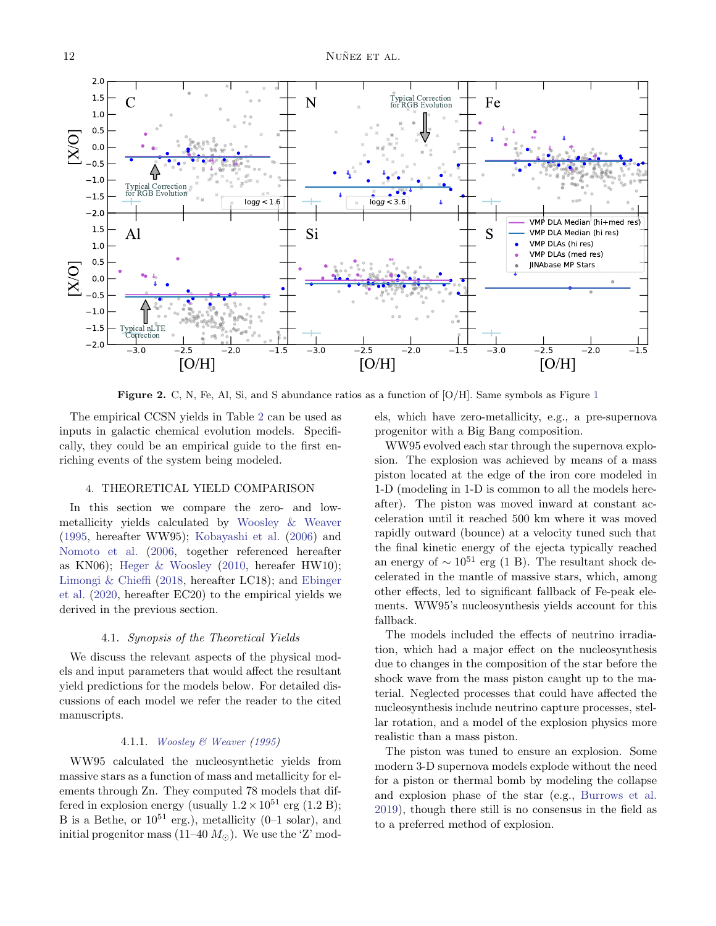

<span id="page-11-1"></span>**Figure 2.** C, N, Fe, Al, Si, and S abundance ratios as a function of  $[O/H]$ . Same symbols as Figure [1](#page-9-0)

The empirical CCSN yields in Table [2](#page-10-1) can be used as inputs in galactic chemical evolution models. Specifically, they could be an empirical guide to the first enriching events of the system being modeled.

# 4. THEORETICAL YIELD COMPARISON

<span id="page-11-0"></span>In this section we compare the zero- and lowmetallicity yields calculated by [Woosley & Weaver](#page-23-2) [\(1995,](#page-23-2) hereafter WW95); [Kobayashi et al.](#page-21-32) [\(2006\)](#page-21-32) and [Nomoto et al.](#page-22-2) [\(2006,](#page-22-2) together referenced hereafter as KN06); [Heger & Woosley](#page-21-0) [\(2010,](#page-21-0) hereafer HW10); [Limongi & Chieffi](#page-22-0) [\(2018,](#page-22-0) hereafter LC18); and [Ebinger](#page-21-33) [et al.](#page-21-33) [\(2020,](#page-21-33) hereafter EC20) to the empirical yields we derived in the previous section.

#### 4.1. Synopsis of the Theoretical Yields

We discuss the relevant aspects of the physical models and input parameters that would affect the resultant yield predictions for the models below. For detailed discussions of each model we refer the reader to the cited manuscripts.

#### 4.1.1. [Woosley & Weaver](#page-23-2) [\(1995\)](#page-23-2)

<span id="page-11-2"></span>WW95 calculated the nucleosynthetic yields from massive stars as a function of mass and metallicity for elements through Zn. They computed 78 models that differed in explosion energy (usually  $1.2 \times 10^{51}$  erg (1.2 B); B is a Bethe, or  $10^{51}$  erg.), metallicity (0–1 solar), and initial progenitor mass (11–40  $M_{\odot}$ ). We use the 'Z' models, which have zero-metallicity, e.g., a pre-supernova progenitor with a Big Bang composition.

WW95 evolved each star through the supernova explosion. The explosion was achieved by means of a mass piston located at the edge of the iron core modeled in 1-D (modeling in 1-D is common to all the models hereafter). The piston was moved inward at constant acceleration until it reached 500 km where it was moved rapidly outward (bounce) at a velocity tuned such that the final kinetic energy of the ejecta typically reached an energy of  $\sim 10^{51}$  erg (1 B). The resultant shock decelerated in the mantle of massive stars, which, among other effects, led to significant fallback of Fe-peak elements. WW95's nucleosynthesis yields account for this fallback.

The models included the effects of neutrino irradiation, which had a major effect on the nucleosynthesis due to changes in the composition of the star before the shock wave from the mass piston caught up to the material. Neglected processes that could have affected the nucleosynthesis include neutrino capture processes, stellar rotation, and a model of the explosion physics more realistic than a mass piston.

The piston was tuned to ensure an explosion. Some modern 3-D supernova models explode without the need for a piston or thermal bomb by modeling the collapse and explosion phase of the star (e.g., [Burrows et al.](#page-20-23) [2019\)](#page-20-23), though there still is no consensus in the field as to a preferred method of explosion.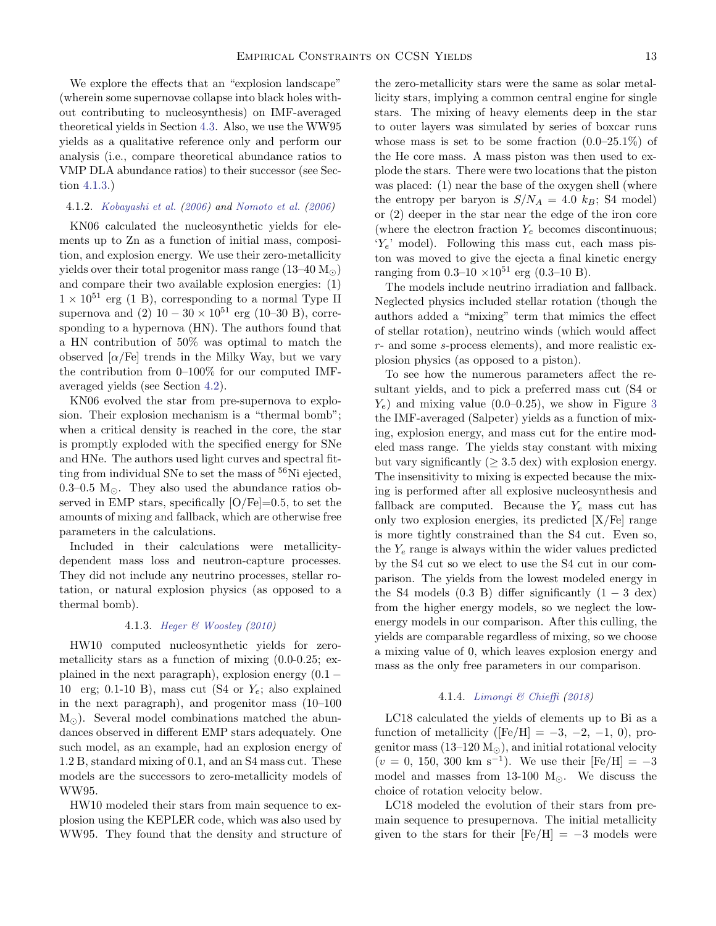We explore the effects that an "explosion landscape" (wherein some supernovae collapse into black holes without contributing to nucleosynthesis) on IMF-averaged theoretical yields in Section [4.3.](#page-14-0) Also, we use the WW95 yields as a qualitative reference only and perform our analysis (i.e., compare theoretical abundance ratios to VMP DLA abundance ratios) to their successor (see Section [4.1.3.](#page-12-0))

## <span id="page-12-2"></span>4.1.2. [Kobayashi et al.](#page-21-32) [\(2006\)](#page-21-32) and [Nomoto et al.](#page-22-2) [\(2006\)](#page-22-2)

KN06 calculated the nucleosynthetic yields for elements up to Zn as a function of initial mass, composition, and explosion energy. We use their zero-metallicity yields over their total progenitor mass range  $(13-40 M_{\odot})$ and compare their two available explosion energies: (1)  $1 \times 10^{51}$  erg (1 B), corresponding to a normal Type II supernova and (2)  $10 - 30 \times 10^{51}$  erg (10–30 B), corresponding to a hypernova (HN). The authors found that a HN contribution of 50% was optimal to match the observed  $\alpha$ /Fe] trends in the Milky Way, but we vary the contribution from 0–100% for our computed IMFaveraged yields (see Section [4.2\)](#page-14-1).

KN06 evolved the star from pre-supernova to explosion. Their explosion mechanism is a "thermal bomb"; when a critical density is reached in the core, the star is promptly exploded with the specified energy for SNe and HNe. The authors used light curves and spectral fitting from individual SNe to set the mass of  ${}^{56}$ Ni ejected, 0.3–0.5  $M_{\odot}$ . They also used the abundance ratios observed in EMP stars, specifically  $[O/Fe]=0.5$ , to set the amounts of mixing and fallback, which are otherwise free parameters in the calculations.

Included in their calculations were metallicitydependent mass loss and neutron-capture processes. They did not include any neutrino processes, stellar rotation, or natural explosion physics (as opposed to a thermal bomb).

#### 4.1.3. [Heger & Woosley](#page-21-0) [\(2010\)](#page-21-0)

<span id="page-12-0"></span>HW10 computed nucleosynthetic yields for zerometallicity stars as a function of mixing (0.0-0.25; explained in the next paragraph), explosion energy  $(0.1 -$ 10 erg; 0.1-10 B), mass cut (S4 or  $Y_e$ ; also explained in the next paragraph), and progenitor mass (10–100  $M_{\odot}$ ). Several model combinations matched the abundances observed in different EMP stars adequately. One such model, as an example, had an explosion energy of 1.2 B, standard mixing of 0.1, and an S4 mass cut. These models are the successors to zero-metallicity models of WW95.

HW10 modeled their stars from main sequence to explosion using the KEPLER code, which was also used by WW95. They found that the density and structure of the zero-metallicity stars were the same as solar metallicity stars, implying a common central engine for single stars. The mixing of heavy elements deep in the star to outer layers was simulated by series of boxcar runs whose mass is set to be some fraction  $(0.0-25.1\%)$  of the He core mass. A mass piston was then used to explode the stars. There were two locations that the piston was placed: (1) near the base of the oxygen shell (where the entropy per baryon is  $S/N_A = 4.0 \; k_B$ ; S4 model) or (2) deeper in the star near the edge of the iron core (where the electron fraction  $Y_e$  becomes discontinuous;  $Y_e$ ' model). Following this mass cut, each mass piston was moved to give the ejecta a final kinetic energy ranging from  $0.3{\text -}10 \times 10^{51}$  erg  $(0.3{\text -}10 \text{ B})$ .

The models include neutrino irradiation and fallback. Neglected physics included stellar rotation (though the authors added a "mixing" term that mimics the effect of stellar rotation), neutrino winds (which would affect r- and some s-process elements), and more realistic explosion physics (as opposed to a piston).

To see how the numerous parameters affect the resultant yields, and to pick a preferred mass cut (S4 or  $Y_e$ ) and mixing value (0.0–0.25), we show in Figure [3](#page-13-0) the IMF-averaged (Salpeter) yields as a function of mixing, explosion energy, and mass cut for the entire modeled mass range. The yields stay constant with mixing but vary significantly ( $\geq$  3.5 dex) with explosion energy. The insensitivity to mixing is expected because the mixing is performed after all explosive nucleosynthesis and fallback are computed. Because the  $Y_e$  mass cut has only two explosion energies, its predicted [X/Fe] range is more tightly constrained than the S4 cut. Even so, the  $Y_e$  range is always within the wider values predicted by the S4 cut so we elect to use the S4 cut in our comparison. The yields from the lowest modeled energy in the S4 models  $(0.3 \text{ B})$  differ significantly  $(1 - 3 \text{ dex})$ from the higher energy models, so we neglect the lowenergy models in our comparison. After this culling, the yields are comparable regardless of mixing, so we choose a mixing value of 0, which leaves explosion energy and mass as the only free parameters in our comparison.

## 4.1.4. [Limongi & Chieffi](#page-22-0) [\(2018\)](#page-22-0)

<span id="page-12-1"></span>LC18 calculated the yields of elements up to Bi as a function of metallicity ( $[Fe/H] = -3, -2, -1, 0$ ), progenitor mass  $(13-120 M_{\odot})$ , and initial rotational velocity  $(v = 0, 150, 300 \text{ km s}^{-1})$ . We use their  $[Fe/H] = -3$ model and masses from 13-100  $M_{\odot}$ . We discuss the choice of rotation velocity below.

LC18 modeled the evolution of their stars from premain sequence to presupernova. The initial metallicity given to the stars for their  $[Fe/H] = -3$  models were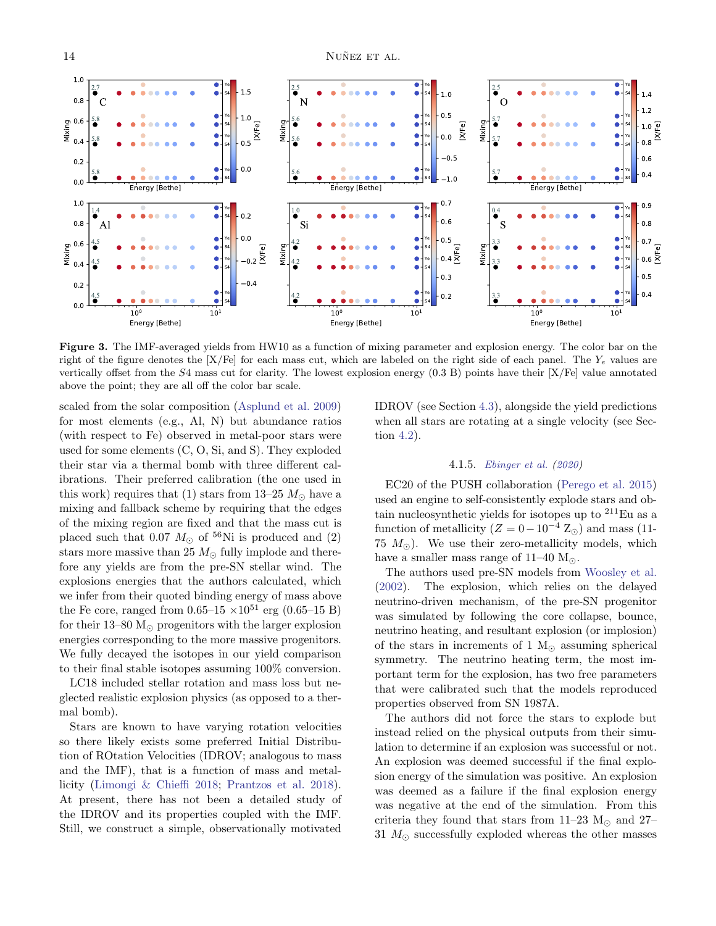

<span id="page-13-0"></span>Figure 3. The IMF-averaged yields from HW10 as a function of mixing parameter and explosion energy. The color bar on the right of the figure denotes the  $[X/Fe]$  for each mass cut, which are labeled on the right side of each panel. The  $Y_e$  values are vertically offset from the S4 mass cut for clarity. The lowest explosion energy (0.3 B) points have their [X/Fe] value annotated above the point; they are all off the color bar scale.

scaled from the solar composition [\(Asplund et al.](#page-20-5) [2009\)](#page-20-5) for most elements (e.g., Al, N) but abundance ratios (with respect to Fe) observed in metal-poor stars were used for some elements (C, O, Si, and S). They exploded their star via a thermal bomb with three different calibrations. Their preferred calibration (the one used in this work) requires that (1) stars from 13–25  $M_{\odot}$  have a mixing and fallback scheme by requiring that the edges of the mixing region are fixed and that the mass cut is placed such that 0.07  $M_{\odot}$  of <sup>56</sup>Ni is produced and (2) stars more massive than 25  $M_{\odot}$  fully implode and therefore any yields are from the pre-SN stellar wind. The explosions energies that the authors calculated, which we infer from their quoted binding energy of mass above the Fe core, ranged from  $0.65-15 \times 10^{51}$  erg  $(0.65-15 B)$ for their 13–80  $M_{\odot}$  progenitors with the larger explosion energies corresponding to the more massive progenitors. We fully decayed the isotopes in our yield comparison to their final stable isotopes assuming 100% conversion.

LC18 included stellar rotation and mass loss but neglected realistic explosion physics (as opposed to a thermal bomb).

Stars are known to have varying rotation velocities so there likely exists some preferred Initial Distribution of ROtation Velocities (IDROV; analogous to mass and the IMF), that is a function of mass and metallicity [\(Limongi & Chieffi](#page-22-0) [2018;](#page-22-0) [Prantzos et al.](#page-22-42) [2018\)](#page-22-42). At present, there has not been a detailed study of the IDROV and its properties coupled with the IMF. Still, we construct a simple, observationally motivated

IDROV (see Section [4.3\)](#page-14-0), alongside the yield predictions when all stars are rotating at a single velocity (see Section [4.2\)](#page-14-1).

#### 4.1.5. [Ebinger et al.](#page-21-33) [\(2020\)](#page-21-33)

<span id="page-13-1"></span>EC20 of the PUSH collaboration [\(Perego et al.](#page-22-3) [2015\)](#page-22-3) used an engine to self-consistently explode stars and obtain nucleosynthetic yields for isotopes up to  $^{211}$ Eu as a function of metallicity  $(Z = 0 - 10^{-4} Z_{\odot})$  and mass (11-75  $M_{\odot}$ ). We use their zero-metallicity models, which have a smaller mass range of  $11-40$   $M_{\odot}$ .

The authors used pre-SN models from [Woosley et al.](#page-23-0) [\(2002\)](#page-23-0). The explosion, which relies on the delayed neutrino-driven mechanism, of the pre-SN progenitor was simulated by following the core collapse, bounce, neutrino heating, and resultant explosion (or implosion) of the stars in increments of 1  $M_{\odot}$  assuming spherical symmetry. The neutrino heating term, the most important term for the explosion, has two free parameters that were calibrated such that the models reproduced properties observed from SN 1987A.

The authors did not force the stars to explode but instead relied on the physical outputs from their simulation to determine if an explosion was successful or not. An explosion was deemed successful if the final explosion energy of the simulation was positive. An explosion was deemed as a failure if the final explosion energy was negative at the end of the simulation. From this criteria they found that stars from 11–23  $M_{\odot}$  and 27– 31  $M_{\odot}$  successfully exploded whereas the other masses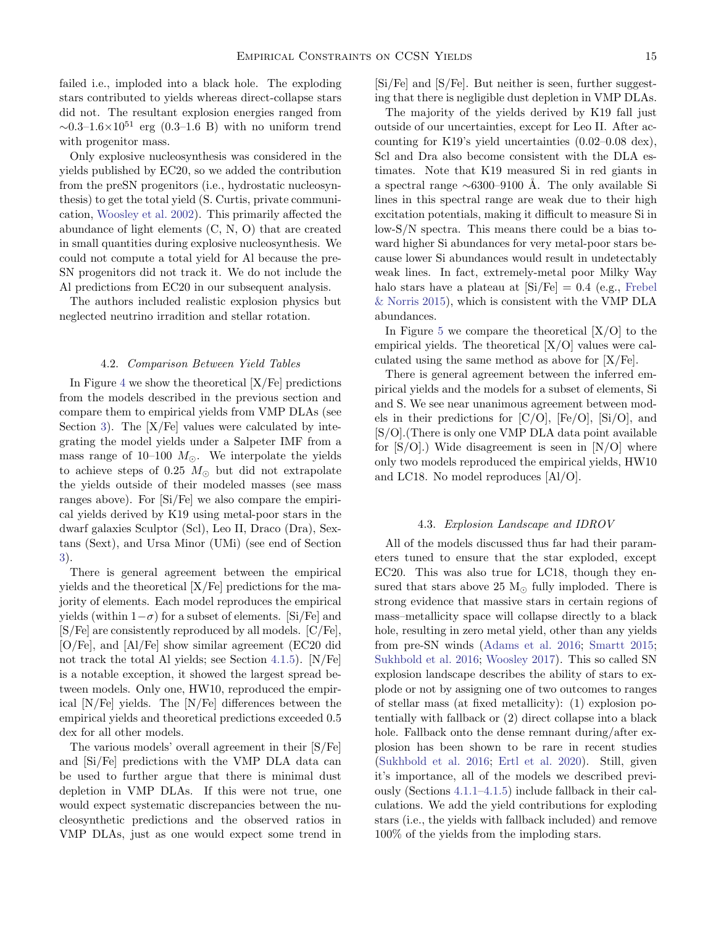failed i.e., imploded into a black hole. The exploding stars contributed to yields whereas direct-collapse stars did not. The resultant explosion energies ranged from  $\sim 0.3-1.6\times10^{51}$  erg (0.3–1.6 B) with no uniform trend with progenitor mass.

Only explosive nucleosynthesis was considered in the yields published by EC20, so we added the contribution from the preSN progenitors (i.e., hydrostatic nucleosynthesis) to get the total yield (S. Curtis, private communication, [Woosley et al.](#page-23-0) [2002\)](#page-23-0). This primarily affected the abundance of light elements (C, N, O) that are created in small quantities during explosive nucleosynthesis. We could not compute a total yield for Al because the pre-SN progenitors did not track it. We do not include the Al predictions from EC20 in our subsequent analysis.

The authors included realistic explosion physics but neglected neutrino irradition and stellar rotation.

#### 4.2. Comparison Between Yield Tables

<span id="page-14-1"></span>In Figure [4](#page-15-0) we show the theoretical  $[X/Fe]$  predictions from the models described in the previous section and compare them to empirical yields from VMP DLAs (see Section [3\)](#page-8-0). The  $[X/Fe]$  values were calculated by integrating the model yields under a Salpeter IMF from a mass range of 10–100  $M_{\odot}$ . We interpolate the yields to achieve steps of 0.25  $M_{\odot}$  but did not extrapolate the yields outside of their modeled masses (see mass ranges above). For [Si/Fe] we also compare the empirical yields derived by K19 using metal-poor stars in the dwarf galaxies Sculptor (Scl), Leo II, Draco (Dra), Sextans (Sext), and Ursa Minor (UMi) (see end of Section [3\)](#page-8-0).

There is general agreement between the empirical yields and the theoretical [X/Fe] predictions for the majority of elements. Each model reproduces the empirical yields (within  $1-\sigma$ ) for a subset of elements. [Si/Fe] and [S/Fe] are consistently reproduced by all models. [C/Fe], [O/Fe], and [Al/Fe] show similar agreement (EC20 did not track the total Al yields; see Section [4.1.5\)](#page-13-1). [N/Fe] is a notable exception, it showed the largest spread between models. Only one, HW10, reproduced the empirical [N/Fe] yields. The [N/Fe] differences between the empirical yields and theoretical predictions exceeded 0.5 dex for all other models.

The various models' overall agreement in their [S/Fe] and [Si/Fe] predictions with the VMP DLA data can be used to further argue that there is minimal dust depletion in VMP DLAs. If this were not true, one would expect systematic discrepancies between the nucleosynthetic predictions and the observed ratios in VMP DLAs, just as one would expect some trend in [Si/Fe] and [S/Fe]. But neither is seen, further suggesting that there is negligible dust depletion in VMP DLAs.

The majority of the yields derived by K19 fall just outside of our uncertainties, except for Leo II. After accounting for K19's yield uncertainties (0.02–0.08 dex), Scl and Dra also become consistent with the DLA estimates. Note that K19 measured Si in red giants in a spectral range  $\sim 6300-9100$  Å. The only available Si lines in this spectral range are weak due to their high excitation potentials, making it difficult to measure Si in low-S/N spectra. This means there could be a bias toward higher Si abundances for very metal-poor stars because lower Si abundances would result in undetectably weak lines. In fact, extremely-metal poor Milky Way halo stars have a plateau at  $[Si/Fe] = 0.4$  (e.g., [Frebel](#page-21-34) [& Norris](#page-21-34) [2015\)](#page-21-34), which is consistent with the VMP DLA abundances.

In Figure [5](#page-16-0) we compare the theoretical  $[X/O]$  to the empirical yields. The theoretical  $[X/O]$  values were calculated using the same method as above for [X/Fe].

There is general agreement between the inferred empirical yields and the models for a subset of elements, Si and S. We see near unanimous agreement between models in their predictions for  $[C/O]$ ,  $[Fe/O]$ ,  $[Si/O]$ , and [S/O].(There is only one VMP DLA data point available for  $[S/O]$ .) Wide disagreement is seen in  $[N/O]$  where only two models reproduced the empirical yields, HW10 and LC18. No model reproduces [Al/O].

#### 4.3. Explosion Landscape and IDROV

<span id="page-14-0"></span>All of the models discussed thus far had their parameters tuned to ensure that the star exploded, except EC20. This was also true for LC18, though they ensured that stars above 25  $M_{\odot}$  fully imploded. There is strong evidence that massive stars in certain regions of mass–metallicity space will collapse directly to a black hole, resulting in zero metal yield, other than any yields from pre-SN winds [\(Adams et al.](#page-20-24) [2016;](#page-20-24) [Smartt](#page-23-26) [2015;](#page-23-26) [Sukhbold et al.](#page-23-27) [2016;](#page-23-27) [Woosley](#page-23-28) [2017\)](#page-23-28). This so called SN explosion landscape describes the ability of stars to explode or not by assigning one of two outcomes to ranges of stellar mass (at fixed metallicity): (1) explosion potentially with fallback or (2) direct collapse into a black hole. Fallback onto the dense remnant during/after explosion has been shown to be rare in recent studies [\(Sukhbold et al.](#page-23-27) [2016;](#page-23-27) [Ertl et al.](#page-21-35) [2020\)](#page-21-35). Still, given it's importance, all of the models we described previously (Sections [4.1.1–](#page-11-2)[4.1.5\)](#page-13-1) include fallback in their calculations. We add the yield contributions for exploding stars (i.e., the yields with fallback included) and remove 100% of the yields from the imploding stars.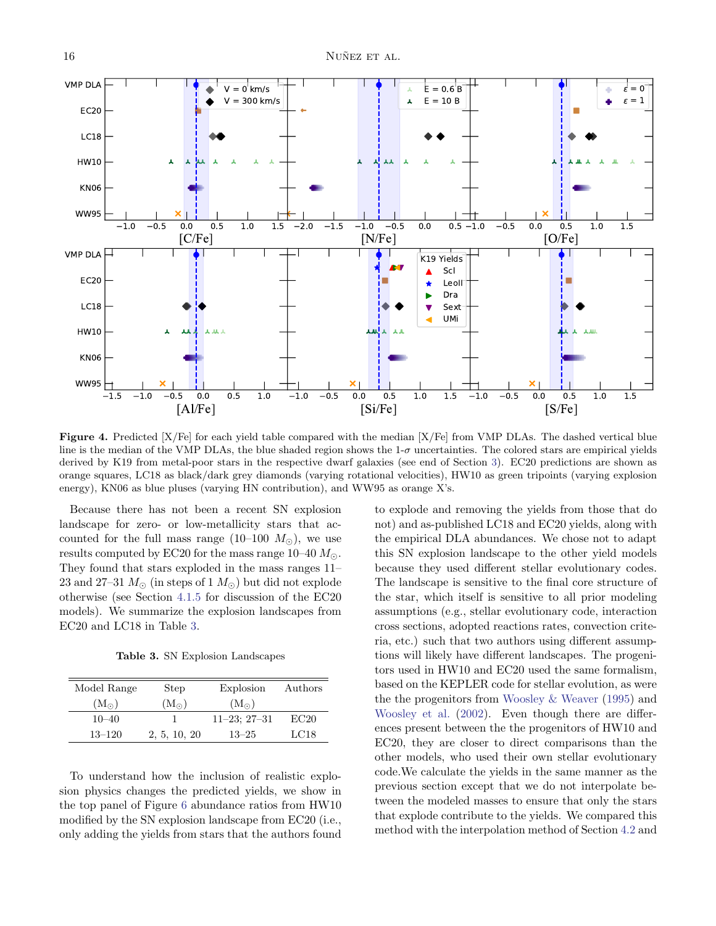

<span id="page-15-0"></span>Figure 4. Predicted [X/Fe] for each yield table compared with the median [X/Fe] from VMP DLAs. The dashed vertical blue line is the median of the VMP DLAs, the blue shaded region shows the  $1-\sigma$  uncertainties. The colored stars are empirical yields derived by K19 from metal-poor stars in the respective dwarf galaxies (see end of Section [3\)](#page-8-0). EC20 predictions are shown as orange squares, LC18 as black/dark grey diamonds (varying rotational velocities), HW10 as green tripoints (varying explosion energy), KN06 as blue pluses (varying HN contribution), and WW95 as orange X's.

Because there has not been a recent SN explosion landscape for zero- or low-metallicity stars that accounted for the full mass range  $(10-100 M_{\odot})$ , we use results computed by EC20 for the mass range  $10-40 M_{\odot}$ . They found that stars exploded in the mass ranges 11– 23 and 27–31  $M_{\odot}$  (in steps of 1  $M_{\odot}$ ) but did not explode otherwise (see Section [4.1.5](#page-13-1) for discussion of the EC20 models). We summarize the explosion landscapes from EC20 and LC18 in Table [3.](#page-15-1)

<span id="page-15-1"></span>Table 3. SN Explosion Landscapes

| Model Range   | Step          | Explosion         | Authors |
|---------------|---------------|-------------------|---------|
| $(M_{\odot})$ | $(M_{\odot})$ | $(M_{\odot})$     |         |
| $10 - 40$     |               | $11-23$ ; $27-31$ | EC20    |
| $13 - 120$    | 2, 5, 10, 20  | $13 - 25$         | LC18    |

To understand how the inclusion of realistic explosion physics changes the predicted yields, we show in the top panel of Figure [6](#page-17-1) abundance ratios from HW10 modified by the SN explosion landscape from EC20 (i.e., only adding the yields from stars that the authors found to explode and removing the yields from those that do not) and as-published LC18 and EC20 yields, along with the empirical DLA abundances. We chose not to adapt this SN explosion landscape to the other yield models because they used different stellar evolutionary codes. The landscape is sensitive to the final core structure of the star, which itself is sensitive to all prior modeling assumptions (e.g., stellar evolutionary code, interaction cross sections, adopted reactions rates, convection criteria, etc.) such that two authors using different assumptions will likely have different landscapes. The progenitors used in HW10 and EC20 used the same formalism, based on the KEPLER code for stellar evolution, as were the the progenitors from [Woosley & Weaver](#page-23-2) [\(1995\)](#page-23-2) and [Woosley et al.](#page-23-0) [\(2002\)](#page-23-0). Even though there are differences present between the the progenitors of HW10 and EC20, they are closer to direct comparisons than the other models, who used their own stellar evolutionary code.We calculate the yields in the same manner as the previous section except that we do not interpolate between the modeled masses to ensure that only the stars that explode contribute to the yields. We compared this method with the interpolation method of Section [4.2](#page-14-1) and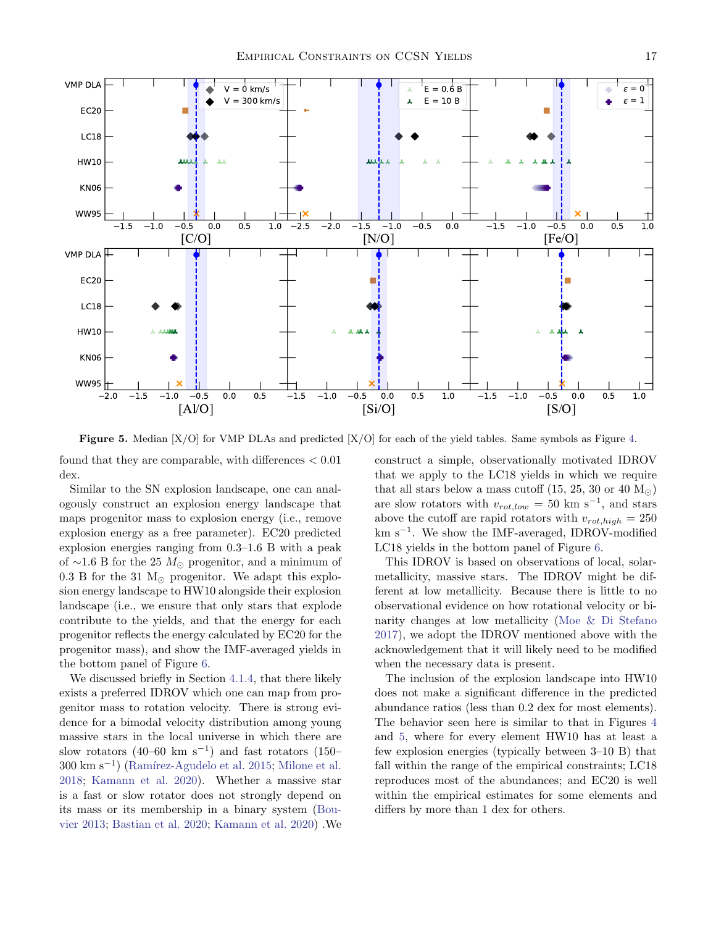

<span id="page-16-0"></span>**Figure 5.** Median  $[X/O]$  for VMP DLAs and predicted  $[X/O]$  for each of the yield tables. Same symbols as Figure [4.](#page-15-0)

found that they are comparable, with differences  $< 0.01$ dex.

Similar to the SN explosion landscape, one can analogously construct an explosion energy landscape that maps progenitor mass to explosion energy (i.e., remove explosion energy as a free parameter). EC20 predicted explosion energies ranging from 0.3–1.6 B with a peak of  $\sim$ 1.6 B for the 25  $M_{\odot}$  progenitor, and a minimum of  $0.3 \text{ B}$  for the 31 M<sub> $\odot$ </sub> progenitor. We adapt this explosion energy landscape to HW10 alongside their explosion landscape (i.e., we ensure that only stars that explode contribute to the yields, and that the energy for each progenitor reflects the energy calculated by EC20 for the progenitor mass), and show the IMF-averaged yields in the bottom panel of Figure [6.](#page-17-1)

We discussed briefly in Section [4.1.4,](#page-12-1) that there likely exists a preferred IDROV which one can map from progenitor mass to rotation velocity. There is strong evidence for a bimodal velocity distribution among young massive stars in the local universe in which there are slow rotators (40–60 km s<sup>−</sup><sup>1</sup> ) and fast rotators (150– 300 km s<sup>-1</sup>) (Ramírez-Agudelo et al. [2015;](#page-22-43) [Milone et al.](#page-22-44) [2018;](#page-22-44) [Kamann et al.](#page-21-36) [2020\)](#page-21-36). Whether a massive star is a fast or slow rotator does not strongly depend on its mass or its membership in a binary system [\(Bou](#page-20-25)[vier](#page-20-25) [2013;](#page-20-25) [Bastian et al.](#page-20-26) [2020;](#page-20-26) [Kamann et al.](#page-21-36) [2020\)](#page-21-36) .We construct a simple, observationally motivated IDROV that we apply to the LC18 yields in which we require that all stars below a mass cutoff  $(15, 25, 30 \text{ or } 40 \text{ M}_\odot)$ are slow rotators with  $v_{rot,low} = 50 \text{ km s}^{-1}$ , and stars above the cutoff are rapid rotators with  $v_{rot,high} = 250$ km s<sup>−</sup><sup>1</sup> . We show the IMF-averaged, IDROV-modified LC18 yields in the bottom panel of Figure [6.](#page-17-1)

This IDROV is based on observations of local, solarmetallicity, massive stars. The IDROV might be different at low metallicity. Because there is little to no observational evidence on how rotational velocity or binarity changes at low metallicity [\(Moe & Di Stefano](#page-22-45) [2017\)](#page-22-45), we adopt the IDROV mentioned above with the acknowledgement that it will likely need to be modified when the necessary data is present.

The inclusion of the explosion landscape into HW10 does not make a significant difference in the predicted abundance ratios (less than 0.2 dex for most elements). The behavior seen here is similar to that in Figures [4](#page-15-0) and [5,](#page-16-0) where for every element HW10 has at least a few explosion energies (typically between 3–10 B) that fall within the range of the empirical constraints; LC18 reproduces most of the abundances; and EC20 is well within the empirical estimates for some elements and differs by more than 1 dex for others.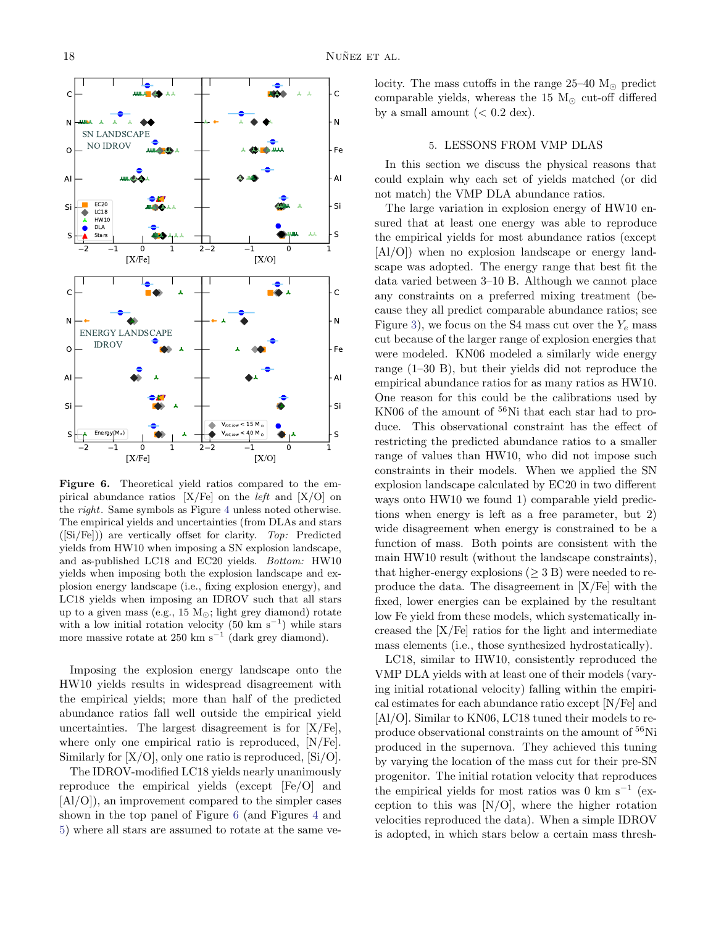

<span id="page-17-1"></span>Figure 6. Theoretical yield ratios compared to the empirical abundance ratios  $[X/Fe]$  on the *left* and  $[X/O]$  on the right. Same symbols as Figure [4](#page-15-0) unless noted otherwise. The empirical yields and uncertainties (from DLAs and stars  $([Si/Fe])$  are vertically offset for clarity. Top: Predicted yields from HW10 when imposing a SN explosion landscape, and as-published LC18 and EC20 yields. Bottom: HW10 yields when imposing both the explosion landscape and explosion energy landscape (i.e., fixing explosion energy), and LC18 yields when imposing an IDROV such that all stars up to a given mass (e.g., 15  $M_{\odot}$ ; light grey diamond) rotate with a low initial rotation velocity  $(50 \text{ km s}^{-1})$  while stars more massive rotate at  $250 \text{ km s}^{-1}$  (dark grey diamond).

Imposing the explosion energy landscape onto the HW10 yields results in widespread disagreement with the empirical yields; more than half of the predicted abundance ratios fall well outside the empirical yield uncertainties. The largest disagreement is for  $[X/Fe]$ , where only one empirical ratio is reproduced, [N/Fe]. Similarly for  $[X/O]$ , only one ratio is reproduced,  $[Si/O]$ .

The IDROV-modified LC18 yields nearly unanimously reproduce the empirical yields (except [Fe/O] and [Al/O]), an improvement compared to the simpler cases shown in the top panel of Figure [6](#page-17-1) (and Figures [4](#page-15-0) and [5\)](#page-16-0) where all stars are assumed to rotate at the same velocity. The mass cutoffs in the range  $25-40$  M<sub> $\odot$ </sub> predict comparable yields, whereas the 15  $M_{\odot}$  cut-off differed by a small amount  $(< 0.2 \text{ dex})$ .

## 5. LESSONS FROM VMP DLAS

<span id="page-17-0"></span>In this section we discuss the physical reasons that could explain why each set of yields matched (or did not match) the VMP DLA abundance ratios.

The large variation in explosion energy of HW10 ensured that at least one energy was able to reproduce the empirical yields for most abundance ratios (except [Al/O]) when no explosion landscape or energy landscape was adopted. The energy range that best fit the data varied between 3–10 B. Although we cannot place any constraints on a preferred mixing treatment (because they all predict comparable abundance ratios; see Figure [3\)](#page-13-0), we focus on the S4 mass cut over the  $Y_e$  mass cut because of the larger range of explosion energies that were modeled. KN06 modeled a similarly wide energy range (1–30 B), but their yields did not reproduce the empirical abundance ratios for as many ratios as HW10. One reason for this could be the calibrations used by KN06 of the amount of  $56$ Ni that each star had to produce. This observational constraint has the effect of restricting the predicted abundance ratios to a smaller range of values than HW10, who did not impose such constraints in their models. When we applied the SN explosion landscape calculated by EC20 in two different ways onto HW10 we found 1) comparable yield predictions when energy is left as a free parameter, but 2) wide disagreement when energy is constrained to be a function of mass. Both points are consistent with the main HW10 result (without the landscape constraints), that higher-energy explosions ( $\geq$  3 B) were needed to reproduce the data. The disagreement in [X/Fe] with the fixed, lower energies can be explained by the resultant low Fe yield from these models, which systematically increased the [X/Fe] ratios for the light and intermediate mass elements (i.e., those synthesized hydrostatically).

LC18, similar to HW10, consistently reproduced the VMP DLA yields with at least one of their models (varying initial rotational velocity) falling within the empirical estimates for each abundance ratio except [N/Fe] and [Al/O]. Similar to KN06, LC18 tuned their models to reproduce observational constraints on the amount of <sup>56</sup>Ni produced in the supernova. They achieved this tuning by varying the location of the mass cut for their pre-SN progenitor. The initial rotation velocity that reproduces the empirical yields for most ratios was 0 km s<sup> $-1$ </sup> (exception to this was  $[N/O]$ , where the higher rotation velocities reproduced the data). When a simple IDROV is adopted, in which stars below a certain mass thresh-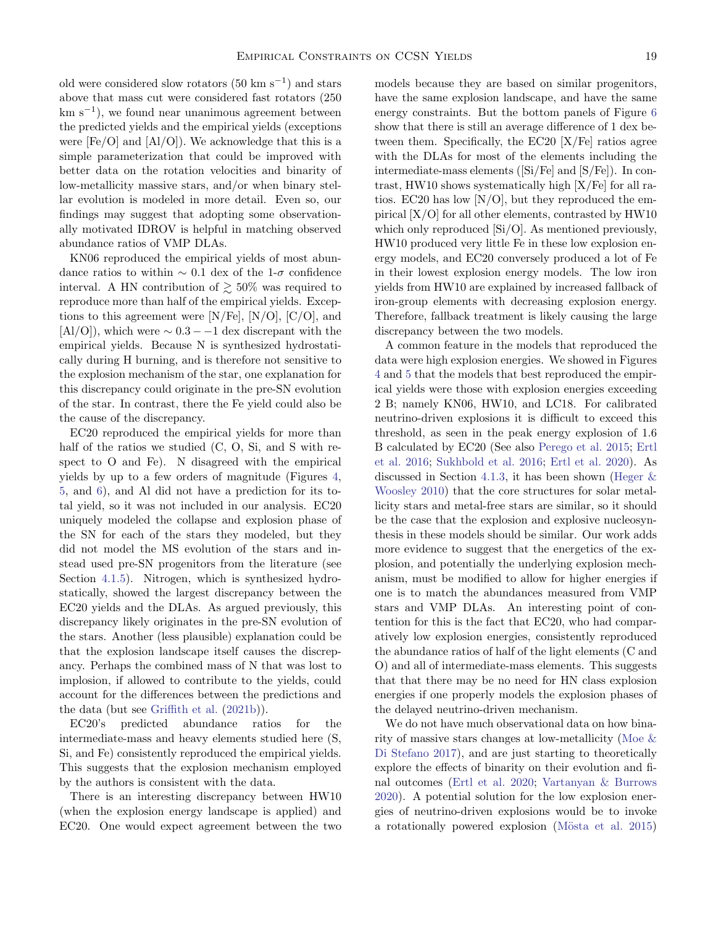old were considered slow rotators  $(50 \text{ km s}^{-1})$  and stars above that mass cut were considered fast rotators (250 km s−<sup>1</sup> ), we found near unanimous agreement between the predicted yields and the empirical yields (exceptions were  $[Fe/O]$  and  $[Al/O]$ ). We acknowledge that this is a simple parameterization that could be improved with better data on the rotation velocities and binarity of low-metallicity massive stars, and/or when binary stellar evolution is modeled in more detail. Even so, our findings may suggest that adopting some observationally motivated IDROV is helpful in matching observed abundance ratios of VMP DLAs.

KN06 reproduced the empirical yields of most abundance ratios to within  $\sim 0.1$  dex of the 1- $\sigma$  confidence interval. A HN contribution of  $\gtrsim 50\%$  was required to reproduce more than half of the empirical yields. Exceptions to this agreement were  $[N/Fe]$ ,  $[N/O]$ ,  $[C/O]$ , and  $[A1/O]$ , which were  $\sim 0.3 - 1$  dex discrepant with the empirical yields. Because N is synthesized hydrostatically during H burning, and is therefore not sensitive to the explosion mechanism of the star, one explanation for this discrepancy could originate in the pre-SN evolution of the star. In contrast, there the Fe yield could also be the cause of the discrepancy.

EC20 reproduced the empirical yields for more than half of the ratios we studied (C, O, Si, and S with respect to O and Fe). N disagreed with the empirical yields by up to a few orders of magnitude (Figures [4,](#page-15-0) [5,](#page-16-0) and [6\)](#page-17-1), and Al did not have a prediction for its total yield, so it was not included in our analysis. EC20 uniquely modeled the collapse and explosion phase of the SN for each of the stars they modeled, but they did not model the MS evolution of the stars and instead used pre-SN progenitors from the literature (see Section [4.1.5\)](#page-13-1). Nitrogen, which is synthesized hydrostatically, showed the largest discrepancy between the EC20 yields and the DLAs. As argued previously, this discrepancy likely originates in the pre-SN evolution of the stars. Another (less plausible) explanation could be that the explosion landscape itself causes the discrepancy. Perhaps the combined mass of N that was lost to implosion, if allowed to contribute to the yields, could account for the differences between the predictions and the data (but see [Griffith et al.](#page-21-37) [\(2021b\)](#page-21-37)).

EC20's predicted abundance ratios for the intermediate-mass and heavy elements studied here (S, Si, and Fe) consistently reproduced the empirical yields. This suggests that the explosion mechanism employed by the authors is consistent with the data.

There is an interesting discrepancy between HW10 (when the explosion energy landscape is applied) and EC20. One would expect agreement between the two

models because they are based on similar progenitors, have the same explosion landscape, and have the same energy constraints. But the bottom panels of Figure [6](#page-17-1) show that there is still an average difference of 1 dex between them. Specifically, the EC20 [X/Fe] ratios agree with the DLAs for most of the elements including the intermediate-mass elements ([Si/Fe] and [S/Fe]). In contrast, HW10 shows systematically high [X/Fe] for all ratios. EC20 has low [N/O], but they reproduced the empirical [X/O] for all other elements, contrasted by HW10 which only reproduced [Si/O]. As mentioned previously, HW10 produced very little Fe in these low explosion energy models, and EC20 conversely produced a lot of Fe in their lowest explosion energy models. The low iron yields from HW10 are explained by increased fallback of iron-group elements with decreasing explosion energy. Therefore, fallback treatment is likely causing the large discrepancy between the two models.

A common feature in the models that reproduced the data were high explosion energies. We showed in Figures [4](#page-15-0) and [5](#page-16-0) that the models that best reproduced the empirical yields were those with explosion energies exceeding 2 B; namely KN06, HW10, and LC18. For calibrated neutrino-driven explosions it is difficult to exceed this threshold, as seen in the peak energy explosion of 1.6 B calculated by EC20 (See also [Perego et al.](#page-22-3) [2015;](#page-22-3) [Ertl](#page-21-38) [et al.](#page-21-38) [2016;](#page-21-38) [Sukhbold et al.](#page-23-27) [2016;](#page-23-27) [Ertl et al.](#page-21-35) [2020\)](#page-21-35). As discussed in Section [4.1.3,](#page-12-0) it has been shown (Heger  $\&$ [Woosley](#page-21-0) [2010\)](#page-21-0) that the core structures for solar metallicity stars and metal-free stars are similar, so it should be the case that the explosion and explosive nucleosynthesis in these models should be similar. Our work adds more evidence to suggest that the energetics of the explosion, and potentially the underlying explosion mechanism, must be modified to allow for higher energies if one is to match the abundances measured from VMP stars and VMP DLAs. An interesting point of contention for this is the fact that EC20, who had comparatively low explosion energies, consistently reproduced the abundance ratios of half of the light elements (C and O) and all of intermediate-mass elements. This suggests that that there may be no need for HN class explosion energies if one properly models the explosion phases of the delayed neutrino-driven mechanism.

We do not have much observational data on how binarity of massive stars changes at low-metallicity [\(Moe &](#page-22-45) [Di Stefano](#page-22-45) [2017\)](#page-22-45), and are just starting to theoretically explore the effects of binarity on their evolution and final outcomes [\(Ertl et al.](#page-21-35) [2020;](#page-21-35) [Vartanyan & Burrows](#page-23-29) [2020\)](#page-23-29). A potential solution for the low explosion energies of neutrino-driven explosions would be to invoke a rotationally powered explosion (Mösta et al. [2015\)](#page-22-46)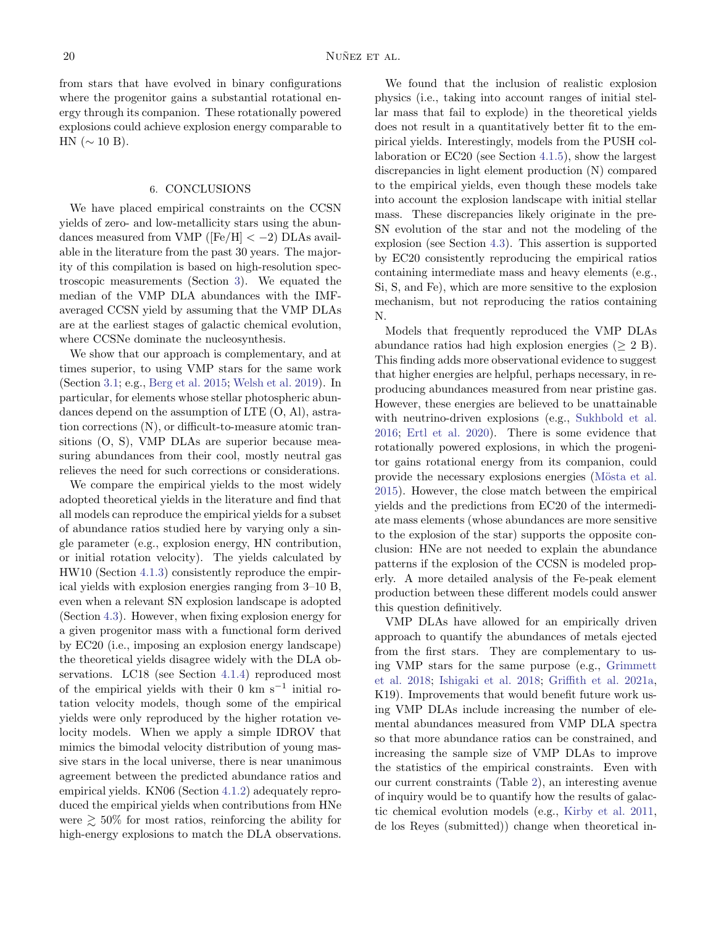from stars that have evolved in binary configurations where the progenitor gains a substantial rotational energy through its companion. These rotationally powered explosions could achieve explosion energy comparable to HN ( $\sim$  10 B).

#### 6. CONCLUSIONS

<span id="page-19-0"></span>We have placed empirical constraints on the CCSN yields of zero- and low-metallicity stars using the abundances measured from VMP ( $[Fe/H] < -2$ ) DLAs available in the literature from the past 30 years. The majority of this compilation is based on high-resolution spectroscopic measurements (Section [3\)](#page-8-0). We equated the median of the VMP DLA abundances with the IMFaveraged CCSN yield by assuming that the VMP DLAs are at the earliest stages of galactic chemical evolution, where CCSNe dominate the nucleosynthesis.

We show that our approach is complementary, and at times superior, to using VMP stars for the same work (Section [3.1;](#page-10-0) e.g., [Berg et al.](#page-20-2) [2015;](#page-20-2) [Welsh et al.](#page-23-7) [2019\)](#page-23-7). In particular, for elements whose stellar photospheric abundances depend on the assumption of LTE (O, Al), astration corrections (N), or difficult-to-measure atomic transitions (O, S), VMP DLAs are superior because measuring abundances from their cool, mostly neutral gas relieves the need for such corrections or considerations.

We compare the empirical yields to the most widely adopted theoretical yields in the literature and find that all models can reproduce the empirical yields for a subset of abundance ratios studied here by varying only a single parameter (e.g., explosion energy, HN contribution, or initial rotation velocity). The yields calculated by HW10 (Section [4.1.3\)](#page-12-0) consistently reproduce the empirical yields with explosion energies ranging from 3–10 B, even when a relevant SN explosion landscape is adopted (Section [4.3\)](#page-14-0). However, when fixing explosion energy for a given progenitor mass with a functional form derived by EC20 (i.e., imposing an explosion energy landscape) the theoretical yields disagree widely with the DLA observations. LC18 (see Section [4.1.4\)](#page-12-1) reproduced most of the empirical yields with their 0 km s<sup> $-1$ </sup> initial rotation velocity models, though some of the empirical yields were only reproduced by the higher rotation velocity models. When we apply a simple IDROV that mimics the bimodal velocity distribution of young massive stars in the local universe, there is near unanimous agreement between the predicted abundance ratios and empirical yields. KN06 (Section [4.1.2\)](#page-12-2) adequately reproduced the empirical yields when contributions from HNe were  $\geq 50\%$  for most ratios, reinforcing the ability for high-energy explosions to match the DLA observations.

We found that the inclusion of realistic explosion physics (i.e., taking into account ranges of initial stellar mass that fail to explode) in the theoretical yields does not result in a quantitatively better fit to the empirical yields. Interestingly, models from the PUSH collaboration or EC20 (see Section [4.1.5\)](#page-13-1), show the largest discrepancies in light element production (N) compared to the empirical yields, even though these models take into account the explosion landscape with initial stellar mass. These discrepancies likely originate in the pre-SN evolution of the star and not the modeling of the explosion (see Section [4.3\)](#page-14-0). This assertion is supported by EC20 consistently reproducing the empirical ratios containing intermediate mass and heavy elements (e.g., Si, S, and Fe), which are more sensitive to the explosion mechanism, but not reproducing the ratios containing N.

Models that frequently reproduced the VMP DLAs abundance ratios had high explosion energies ( $\geq 2$  B). This finding adds more observational evidence to suggest that higher energies are helpful, perhaps necessary, in reproducing abundances measured from near pristine gas. However, these energies are believed to be unattainable with neutrino-driven explosions (e.g., [Sukhbold et al.](#page-23-27) [2016;](#page-23-27) [Ertl et al.](#page-21-35) [2020\)](#page-21-35). There is some evidence that rotationally powered explosions, in which the progenitor gains rotational energy from its companion, could provide the necessary explosions energies (Mösta et al. [2015\)](#page-22-46). However, the close match between the empirical yields and the predictions from EC20 of the intermediate mass elements (whose abundances are more sensitive to the explosion of the star) supports the opposite conclusion: HNe are not needed to explain the abundance patterns if the explosion of the CCSN is modeled properly. A more detailed analysis of the Fe-peak element production between these different models could answer this question definitively.

VMP DLAs have allowed for an empirically driven approach to quantify the abundances of metals ejected from the first stars. They are complementary to using VMP stars for the same purpose (e.g., [Grimmett](#page-21-39) [et al.](#page-21-39) [2018;](#page-21-39) [Ishigaki et al.](#page-21-40) [2018;](#page-21-40) [Griffith et al.](#page-21-41) [2021a,](#page-21-41) K19). Improvements that would benefit future work using VMP DLAs include increasing the number of elemental abundances measured from VMP DLA spectra so that more abundance ratios can be constrained, and increasing the sample size of VMP DLAs to improve the statistics of the empirical constraints. Even with our current constraints (Table [2\)](#page-10-1), an interesting avenue of inquiry would be to quantify how the results of galactic chemical evolution models (e.g., [Kirby et al.](#page-21-42) [2011,](#page-21-42) de los Reyes (submitted)) change when theoretical in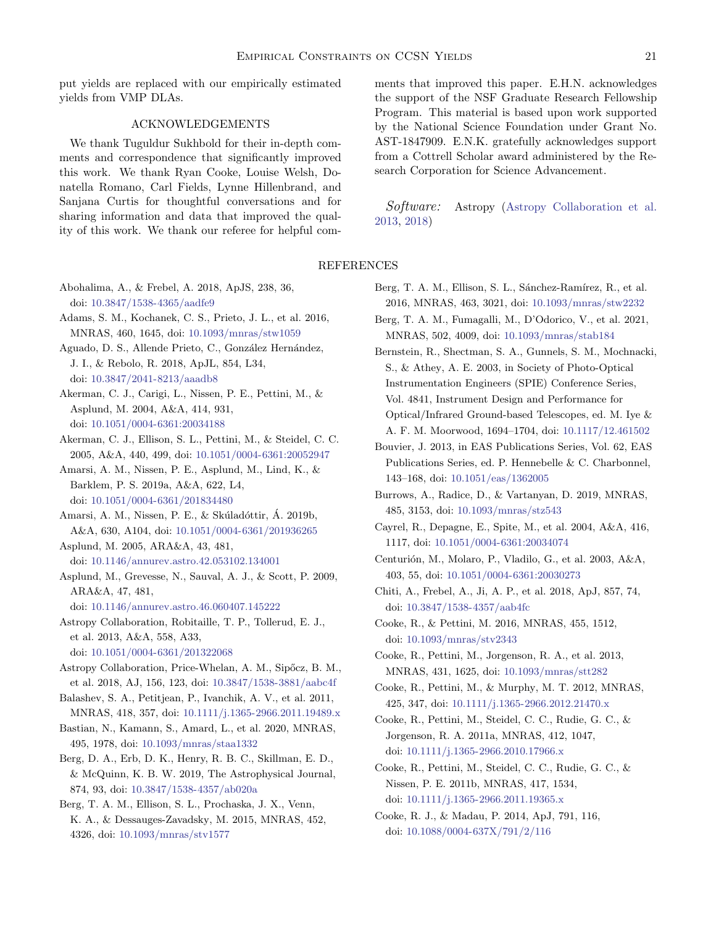put yields are replaced with our empirically estimated yields from VMP DLAs.

# ACKNOWLEDGEMENTS

We thank Tuguldur Sukhbold for their in-depth comments and correspondence that significantly improved this work. We thank Ryan Cooke, Louise Welsh, Donatella Romano, Carl Fields, Lynne Hillenbrand, and Sanjana Curtis for thoughtful conversations and for sharing information and data that improved the quality of this work. We thank our referee for helpful comments that improved this paper. E.H.N. acknowledges the support of the NSF Graduate Research Fellowship Program. This material is based upon work supported by the National Science Foundation under Grant No. AST-1847909. E.N.K. gratefully acknowledges support from a Cottrell Scholar award administered by the Research Corporation for Science Advancement.

Software: Astropy [\(Astropy Collaboration et al.](#page-20-27) [2013,](#page-20-27) [2018\)](#page-20-28)

## REFERENCES

- <span id="page-20-16"></span>Abohalima, A., & Frebel, A. 2018, ApJS, 238, 36, doi: [10.3847/1538-4365/aadfe9](http://doi.org/10.3847/1538-4365/aadfe9)
- <span id="page-20-24"></span>Adams, S. M., Kochanek, C. S., Prieto, J. L., et al. 2016, MNRAS, 460, 1645, doi: [10.1093/mnras/stw1059](http://doi.org/10.1093/mnras/stw1059)
- <span id="page-20-0"></span>Aguado, D. S., Allende Prieto, C., González Hernández, J. I., & Rebolo, R. 2018, ApJL, 854, L34, doi: [10.3847/2041-8213/aaadb8](http://doi.org/10.3847/2041-8213/aaadb8)
- <span id="page-20-19"></span>Akerman, C. J., Carigi, L., Nissen, P. E., Pettini, M., & Asplund, M. 2004, A&A, 414, 931, doi: [10.1051/0004-6361:20034188](http://doi.org/10.1051/0004-6361:20034188)
- <span id="page-20-18"></span>Akerman, C. J., Ellison, S. L., Pettini, M., & Steidel, C. C. 2005, A&A, 440, 499, doi: [10.1051/0004-6361:20052947](http://doi.org/10.1051/0004-6361:20052947)
- <span id="page-20-20"></span>Amarsi, A. M., Nissen, P. E., Asplund, M., Lind, K., & Barklem, P. S. 2019a, A&A, 622, L4, doi: [10.1051/0004-6361/201834480](http://doi.org/10.1051/0004-6361/201834480)
- <span id="page-20-1"></span>Amarsi, A. M., Nissen, P. E., & Skúladóttir, Á. 2019b, A&A, 630, A104, doi: [10.1051/0004-6361/201936265](http://doi.org/10.1051/0004-6361/201936265)
- <span id="page-20-6"></span>Asplund, M. 2005, ARA&A, 43, 481, doi: [10.1146/annurev.astro.42.053102.134001](http://doi.org/10.1146/annurev.astro.42.053102.134001)
- <span id="page-20-5"></span>Asplund, M., Grevesse, N., Sauval, A. J., & Scott, P. 2009, ARA&A, 47, 481,
	- doi: [10.1146/annurev.astro.46.060407.145222](http://doi.org/10.1146/annurev.astro.46.060407.145222)
- <span id="page-20-27"></span>Astropy Collaboration, Robitaille, T. P., Tollerud, E. J., et al. 2013, A&A, 558, A33,
- doi: [10.1051/0004-6361/201322068](http://doi.org/10.1051/0004-6361/201322068)
- <span id="page-20-28"></span>Astropy Collaboration, Price-Whelan, A. M., Sipőcz, B. M., et al. 2018, AJ, 156, 123, doi: [10.3847/1538-3881/aabc4f](http://doi.org/10.3847/1538-3881/aabc4f)
- <span id="page-20-14"></span>Balashev, S. A., Petitjean, P., Ivanchik, A. V., et al. 2011, MNRAS, 418, 357, doi: [10.1111/j.1365-2966.2011.19489.x](http://doi.org/10.1111/j.1365-2966.2011.19489.x)
- <span id="page-20-26"></span>Bastian, N., Kamann, S., Amard, L., et al. 2020, MNRAS, 495, 1978, doi: [10.1093/mnras/staa1332](http://doi.org/10.1093/mnras/staa1332)
- <span id="page-20-22"></span>Berg, D. A., Erb, D. K., Henry, R. B. C., Skillman, E. D., & McQuinn, K. B. W. 2019, The Astrophysical Journal, 874, 93, doi: [10.3847/1538-4357/ab020a](http://doi.org/10.3847/1538-4357/ab020a)
- <span id="page-20-2"></span>Berg, T. A. M., Ellison, S. L., Prochaska, J. X., Venn, K. A., & Dessauges-Zavadsky, M. 2015, MNRAS, 452, 4326, doi: [10.1093/mnras/stv1577](http://doi.org/10.1093/mnras/stv1577)
- <span id="page-20-13"></span>Berg, T. A. M., Ellison, S. L., Sánchez-Ramírez, R., et al. 2016, MNRAS, 463, 3021, doi: [10.1093/mnras/stw2232](http://doi.org/10.1093/mnras/stw2232)
- <span id="page-20-21"></span>Berg, T. A. M., Fumagalli, M., D'Odorico, V., et al. 2021, MNRAS, 502, 4009, doi: [10.1093/mnras/stab184](http://doi.org/10.1093/mnras/stab184)
- <span id="page-20-7"></span>Bernstein, R., Shectman, S. A., Gunnels, S. M., Mochnacki, S., & Athey, A. E. 2003, in Society of Photo-Optical Instrumentation Engineers (SPIE) Conference Series, Vol. 4841, Instrument Design and Performance for Optical/Infrared Ground-based Telescopes, ed. M. Iye & A. F. M. Moorwood, 1694–1704, doi: [10.1117/12.461502](http://doi.org/10.1117/12.461502)
- <span id="page-20-25"></span>Bouvier, J. 2013, in EAS Publications Series, Vol. 62, EAS Publications Series, ed. P. Hennebelle & C. Charbonnel, 143–168, doi: [10.1051/eas/1362005](http://doi.org/10.1051/eas/1362005)
- <span id="page-20-23"></span>Burrows, A., Radice, D., & Vartanyan, D. 2019, MNRAS, 485, 3153, doi: [10.1093/mnras/stz543](http://doi.org/10.1093/mnras/stz543)
- <span id="page-20-15"></span>Cayrel, R., Depagne, E., Spite, M., et al. 2004, A&A, 416, 1117, doi: [10.1051/0004-6361:20034074](http://doi.org/10.1051/0004-6361:20034074)
- <span id="page-20-8"></span>Centurión, M., Molaro, P., Vladilo, G., et al. 2003, A&A, 403, 55, doi: [10.1051/0004-6361:20030273](http://doi.org/10.1051/0004-6361:20030273)
- <span id="page-20-17"></span>Chiti, A., Frebel, A., Ji, A. P., et al. 2018, ApJ, 857, 74, doi: [10.3847/1538-4357/aab4fc](http://doi.org/10.3847/1538-4357/aab4fc)
- <span id="page-20-4"></span>Cooke, R., & Pettini, M. 2016, MNRAS, 455, 1512, doi: [10.1093/mnras/stv2343](http://doi.org/10.1093/mnras/stv2343)
- <span id="page-20-11"></span>Cooke, R., Pettini, M., Jorgenson, R. A., et al. 2013, MNRAS, 431, 1625, doi: [10.1093/mnras/stt282](http://doi.org/10.1093/mnras/stt282)
- <span id="page-20-10"></span>Cooke, R., Pettini, M., & Murphy, M. T. 2012, MNRAS, 425, 347, doi: [10.1111/j.1365-2966.2012.21470.x](http://doi.org/10.1111/j.1365-2966.2012.21470.x)
- <span id="page-20-9"></span>Cooke, R., Pettini, M., Steidel, C. C., Rudie, G. C., & Jorgenson, R. A. 2011a, MNRAS, 412, 1047, doi: [10.1111/j.1365-2966.2010.17966.x](http://doi.org/10.1111/j.1365-2966.2010.17966.x)
- <span id="page-20-3"></span>Cooke, R., Pettini, M., Steidel, C. C., Rudie, G. C., & Nissen, P. E. 2011b, MNRAS, 417, 1534, doi: [10.1111/j.1365-2966.2011.19365.x](http://doi.org/10.1111/j.1365-2966.2011.19365.x)
- <span id="page-20-12"></span>Cooke, R. J., & Madau, P. 2014, ApJ, 791, 116, doi: [10.1088/0004-637X/791/2/116](http://doi.org/10.1088/0004-637X/791/2/116)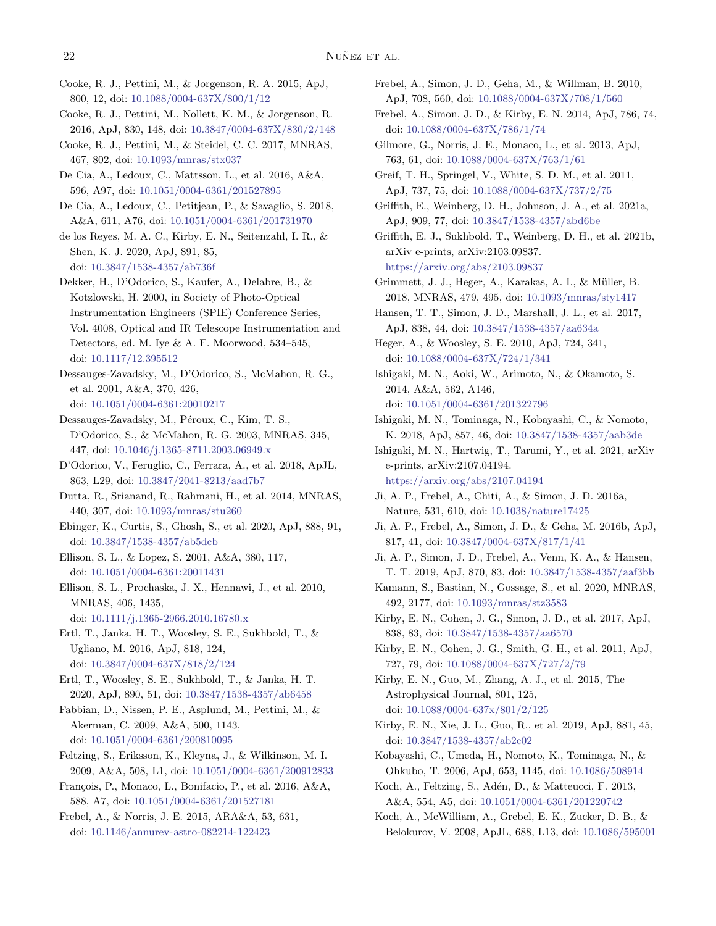<span id="page-21-6"></span>Cooke, R. J., Pettini, M., & Jorgenson, R. A. 2015, ApJ, 800, 12, doi: [10.1088/0004-637X/800/1/12](http://doi.org/10.1088/0004-637X/800/1/12)

- <span id="page-21-14"></span>Cooke, R. J., Pettini, M., Nollett, K. M., & Jorgenson, R. 2016, ApJ, 830, 148, doi: [10.3847/0004-637X/830/2/148](http://doi.org/10.3847/0004-637X/830/2/148)
- <span id="page-21-5"></span>Cooke, R. J., Pettini, M., & Steidel, C. C. 2017, MNRAS, 467, 802, doi: [10.1093/mnras/stx037](http://doi.org/10.1093/mnras/stx037)
- <span id="page-21-7"></span>De Cia, A., Ledoux, C., Mattsson, L., et al. 2016, A&A, 596, A97, doi: [10.1051/0004-6361/201527895](http://doi.org/10.1051/0004-6361/201527895)
- <span id="page-21-16"></span>De Cia, A., Ledoux, C., Petitjean, P., & Savaglio, S. 2018, A&A, 611, A76, doi: [10.1051/0004-6361/201731970](http://doi.org/10.1051/0004-6361/201731970)
- <span id="page-21-3"></span>de los Reyes, M. A. C., Kirby, E. N., Seitenzahl, I. R., & Shen, K. J. 2020, ApJ, 891, 85, doi: [10.3847/1538-4357/ab736f](http://doi.org/10.3847/1538-4357/ab736f)
- <span id="page-21-8"></span>Dekker, H., D'Odorico, S., Kaufer, A., Delabre, B., & Kotzlowski, H. 2000, in Society of Photo-Optical Instrumentation Engineers (SPIE) Conference Series, Vol. 4008, Optical and IR Telescope Instrumentation and Detectors, ed. M. Iye & A. F. Moorwood, 534–545, doi: [10.1117/12.395512](http://doi.org/10.1117/12.395512)
- <span id="page-21-10"></span>Dessauges-Zavadsky, M., D'Odorico, S., McMahon, R. G., et al. 2001, A&A, 370, 426, doi: [10.1051/0004-6361:20010217](http://doi.org/10.1051/0004-6361:20010217)
- <span id="page-21-11"></span>Dessauges-Zavadsky, M., Péroux, C., Kim, T. S., D'Odorico, S., & McMahon, R. G. 2003, MNRAS, 345, 447, doi: [10.1046/j.1365-8711.2003.06949.x](http://doi.org/10.1046/j.1365-8711.2003.06949.x)
- <span id="page-21-13"></span>D'Odorico, V., Feruglio, C., Ferrara, A., et al. 2018, ApJL, 863, L29, doi: [10.3847/2041-8213/aad7b7](http://doi.org/10.3847/2041-8213/aad7b7)
- <span id="page-21-15"></span>Dutta, R., Srianand, R., Rahmani, H., et al. 2014, MNRAS, 440, 307, doi: [10.1093/mnras/stu260](http://doi.org/10.1093/mnras/stu260)
- <span id="page-21-33"></span>Ebinger, K., Curtis, S., Ghosh, S., et al. 2020, ApJ, 888, 91, doi: [10.3847/1538-4357/ab5dcb](http://doi.org/10.3847/1538-4357/ab5dcb)
- <span id="page-21-9"></span>Ellison, S. L., & Lopez, S. 2001, A&A, 380, 117, doi: [10.1051/0004-6361:20011431](http://doi.org/10.1051/0004-6361:20011431)
- <span id="page-21-12"></span>Ellison, S. L., Prochaska, J. X., Hennawi, J., et al. 2010, MNRAS, 406, 1435,
- doi: [10.1111/j.1365-2966.2010.16780.x](http://doi.org/10.1111/j.1365-2966.2010.16780.x)
- <span id="page-21-38"></span>Ertl, T., Janka, H. T., Woosley, S. E., Sukhbold, T., & Ugliano, M. 2016, ApJ, 818, 124, doi: [10.3847/0004-637X/818/2/124](http://doi.org/10.3847/0004-637X/818/2/124)
- <span id="page-21-35"></span>Ertl, T., Woosley, S. E., Sukhbold, T., & Janka, H. T. 2020, ApJ, 890, 51, doi: [10.3847/1538-4357/ab6458](http://doi.org/10.3847/1538-4357/ab6458)
- <span id="page-21-30"></span>Fabbian, D., Nissen, P. E., Asplund, M., Pettini, M., & Akerman, C. 2009, A&A, 500, 1143, doi: [10.1051/0004-6361/200810095](http://doi.org/10.1051/0004-6361/200810095)
- <span id="page-21-18"></span>Feltzing, S., Eriksson, K., Kleyna, J., & Wilkinson, M. I. 2009, A&A, 508, L1, doi: [10.1051/0004-6361/200912833](http://doi.org/10.1051/0004-6361/200912833)
- <span id="page-21-24"></span>François, P., Monaco, L., Bonifacio, P., et al. 2016, A&A, 588, A7, doi: [10.1051/0004-6361/201527181](http://doi.org/10.1051/0004-6361/201527181)
- <span id="page-21-34"></span>Frebel, A., & Norris, J. E. 2015, ARA&A, 53, 631, doi: [10.1146/annurev-astro-082214-122423](http://doi.org/10.1146/annurev-astro-082214-122423)
- <span id="page-21-19"></span>Frebel, A., Simon, J. D., Geha, M., & Willman, B. 2010, ApJ, 708, 560, doi: [10.1088/0004-637X/708/1/560](http://doi.org/10.1088/0004-637X/708/1/560)
- <span id="page-21-22"></span>Frebel, A., Simon, J. D., & Kirby, E. N. 2014, ApJ, 786, 74, doi: [10.1088/0004-637X/786/1/74](http://doi.org/10.1088/0004-637X/786/1/74)
- <span id="page-21-20"></span>Gilmore, G., Norris, J. E., Monaco, L., et al. 2013, ApJ, 763, 61, doi: [10.1088/0004-637X/763/1/61](http://doi.org/10.1088/0004-637X/763/1/61)
- <span id="page-21-1"></span>Greif, T. H., Springel, V., White, S. D. M., et al. 2011, ApJ, 737, 75, doi: [10.1088/0004-637X/737/2/75](http://doi.org/10.1088/0004-637X/737/2/75)
- <span id="page-21-41"></span>Griffith, E., Weinberg, D. H., Johnson, J. A., et al. 2021a, ApJ, 909, 77, doi: [10.3847/1538-4357/abd6be](http://doi.org/10.3847/1538-4357/abd6be)
- <span id="page-21-37"></span>Griffith, E. J., Sukhbold, T., Weinberg, D. H., et al. 2021b, arXiv e-prints, arXiv:2103.09837. <https://arxiv.org/abs/2103.09837>
- <span id="page-21-39"></span>Grimmett, J. J., Heger, A., Karakas, A. I., & Müller, B. 2018, MNRAS, 479, 495, doi: [10.1093/mnras/sty1417](http://doi.org/10.1093/mnras/sty1417)
- <span id="page-21-27"></span>Hansen, T. T., Simon, J. D., Marshall, J. L., et al. 2017, ApJ, 838, 44, doi: [10.3847/1538-4357/aa634a](http://doi.org/10.3847/1538-4357/aa634a)
- <span id="page-21-0"></span>Heger, A., & Woosley, S. E. 2010, ApJ, 724, 341, doi: [10.1088/0004-637X/724/1/341](http://doi.org/10.1088/0004-637X/724/1/341)
- <span id="page-21-23"></span>Ishigaki, M. N., Aoki, W., Arimoto, N., & Okamoto, S. 2014, A&A, 562, A146, doi: [10.1051/0004-6361/201322796](http://doi.org/10.1051/0004-6361/201322796)
- <span id="page-21-40"></span>Ishigaki, M. N., Tominaga, N., Kobayashi, C., & Nomoto, K. 2018, ApJ, 857, 46, doi: [10.3847/1538-4357/aab3de](http://doi.org/10.3847/1538-4357/aab3de)
- <span id="page-21-4"></span>Ishigaki, M. N., Hartwig, T., Tarumi, Y., et al. 2021, arXiv e-prints, arXiv:2107.04194. <https://arxiv.org/abs/2107.04194>
- <span id="page-21-26"></span>Ji, A. P., Frebel, A., Chiti, A., & Simon, J. D. 2016a, Nature, 531, 610, doi: [10.1038/nature17425](http://doi.org/10.1038/nature17425)
- <span id="page-21-25"></span>Ji, A. P., Frebel, A., Simon, J. D., & Geha, M. 2016b, ApJ, 817, 41, doi: [10.3847/0004-637X/817/1/41](http://doi.org/10.3847/0004-637X/817/1/41)
- <span id="page-21-29"></span>Ji, A. P., Simon, J. D., Frebel, A., Venn, K. A., & Hansen, T. T. 2019, ApJ, 870, 83, doi: [10.3847/1538-4357/aaf3bb](http://doi.org/10.3847/1538-4357/aaf3bb)
- <span id="page-21-36"></span>Kamann, S., Bastian, N., Gossage, S., et al. 2020, MNRAS, 492, 2177, doi: [10.1093/mnras/stz3583](http://doi.org/10.1093/mnras/stz3583)
- <span id="page-21-28"></span>Kirby, E. N., Cohen, J. G., Simon, J. D., et al. 2017, ApJ, 838, 83, doi: [10.3847/1538-4357/aa6570](http://doi.org/10.3847/1538-4357/aa6570)
- <span id="page-21-42"></span>Kirby, E. N., Cohen, J. G., Smith, G. H., et al. 2011, ApJ, 727, 79, doi: [10.1088/0004-637X/727/2/79](http://doi.org/10.1088/0004-637X/727/2/79)
- <span id="page-21-31"></span>Kirby, E. N., Guo, M., Zhang, A. J., et al. 2015, The Astrophysical Journal, 801, 125, doi: [10.1088/0004-637x/801/2/125](http://doi.org/10.1088/0004-637x/801/2/125)
- <span id="page-21-2"></span>Kirby, E. N., Xie, J. L., Guo, R., et al. 2019, ApJ, 881, 45, doi: [10.3847/1538-4357/ab2c02](http://doi.org/10.3847/1538-4357/ab2c02)
- <span id="page-21-32"></span>Kobayashi, C., Umeda, H., Nomoto, K., Tominaga, N., & Ohkubo, T. 2006, ApJ, 653, 1145, doi: [10.1086/508914](http://doi.org/10.1086/508914)
- <span id="page-21-21"></span>Koch, A., Feltzing, S., Adén, D., & Matteucci, F. 2013, A&A, 554, A5, doi: [10.1051/0004-6361/201220742](http://doi.org/10.1051/0004-6361/201220742)
- <span id="page-21-17"></span>Koch, A., McWilliam, A., Grebel, E. K., Zucker, D. B., & Belokurov, V. 2008, ApJL, 688, L13, doi: [10.1086/595001](http://doi.org/10.1086/595001)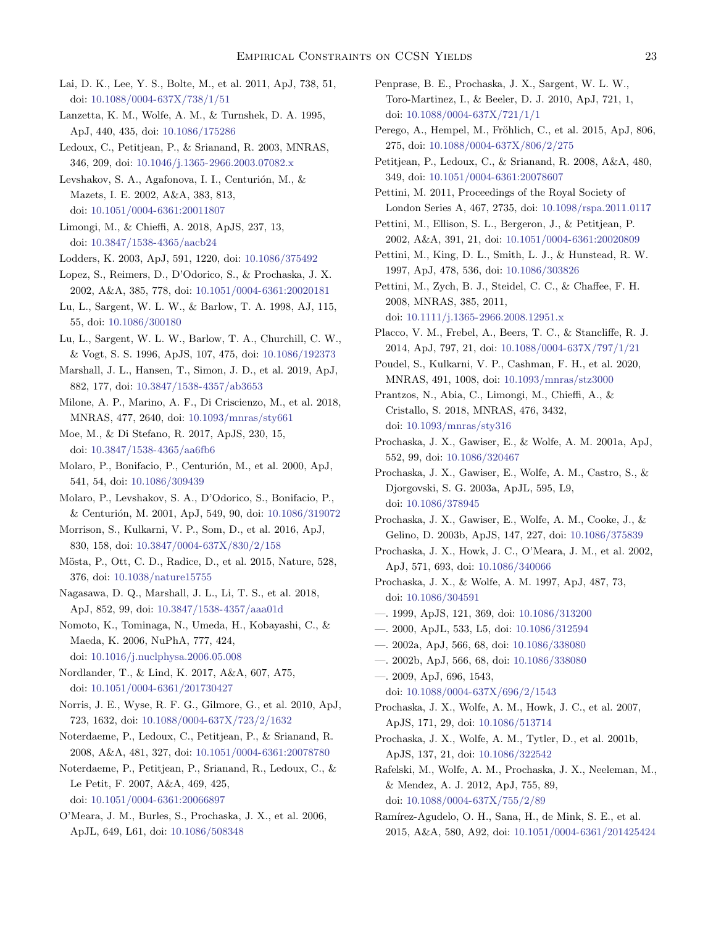- <span id="page-22-37"></span>Lai, D. K., Lee, Y. S., Bolte, M., et al. 2011, ApJ, 738, 51, doi: [10.1088/0004-637X/738/1/51](http://doi.org/10.1088/0004-637X/738/1/51)
- <span id="page-22-5"></span>Lanzetta, K. M., Wolfe, A. M., & Turnshek, D. A. 1995, ApJ, 440, 435, doi: [10.1086/175286](http://doi.org/10.1086/175286)
- <span id="page-22-28"></span>Ledoux, C., Petitjean, P., & Srianand, R. 2003, MNRAS, 346, 209, doi: [10.1046/j.1365-2966.2003.07082.x](http://doi.org/10.1046/j.1365-2966.2003.07082.x)

<span id="page-22-16"></span>Levshakov, S. A., Agafonova, I. I., Centurión, M., & Mazets, I. E. 2002, A&A, 383, 813, doi: [10.1051/0004-6361:20011807](http://doi.org/10.1051/0004-6361:20011807)

<span id="page-22-0"></span>Limongi, M., & Chieffi, A. 2018, ApJS, 237, 13, doi: [10.3847/1538-4365/aacb24](http://doi.org/10.3847/1538-4365/aacb24)

<span id="page-22-10"></span>Lodders, K. 2003, ApJ, 591, 1220, doi: [10.1086/375492](http://doi.org/10.1086/375492)

<span id="page-22-17"></span>Lopez, S., Reimers, D., D'Odorico, S., & Prochaska, J. X. 2002, A&A, 385, 778, doi: [10.1051/0004-6361:20020181](http://doi.org/10.1051/0004-6361:20020181)

- <span id="page-22-11"></span>Lu, L., Sargent, W. L. W., & Barlow, T. A. 1998, AJ, 115, 55, doi: [10.1086/300180](http://doi.org/10.1086/300180)
- <span id="page-22-23"></span>Lu, L., Sargent, W. L. W., Barlow, T. A., Churchill, C. W., & Vogt, S. S. 1996, ApJS, 107, 475, doi: [10.1086/192373](http://doi.org/10.1086/192373)
- <span id="page-22-39"></span>Marshall, J. L., Hansen, T., Simon, J. D., et al. 2019, ApJ, 882, 177, doi: [10.3847/1538-4357/ab3653](http://doi.org/10.3847/1538-4357/ab3653)

<span id="page-22-44"></span>Milone, A. P., Marino, A. F., Di Criscienzo, M., et al. 2018, MNRAS, 477, 2640, doi: [10.1093/mnras/sty661](http://doi.org/10.1093/mnras/sty661)

<span id="page-22-45"></span>Moe, M., & Di Stefano, R. 2017, ApJS, 230, 15, doi: [10.3847/1538-4365/aa6fb6](http://doi.org/10.3847/1538-4365/aa6fb6)

<span id="page-22-14"></span>Molaro, P., Bonifacio, P., Centurión, M., et al. 2000, ApJ, 541, 54, doi: [10.1086/309439](http://doi.org/10.1086/309439)

- <span id="page-22-15"></span>Molaro, P., Levshakov, S. A., D'Odorico, S., Bonifacio, P., & Centurión, M. 2001, ApJ, 549, 90, doi: [10.1086/319072](http://doi.org/10.1086/319072)
- <span id="page-22-34"></span>Morrison, S., Kulkarni, V. P., Som, D., et al. 2016, ApJ, 830, 158, doi: [10.3847/0004-637X/830/2/158](http://doi.org/10.3847/0004-637X/830/2/158)
- <span id="page-22-46"></span>Mösta, P., Ott, C. D., Radice, D., et al. 2015, Nature, 528, 376, doi: [10.1038/nature15755](http://doi.org/10.1038/nature15755)
- <span id="page-22-38"></span>Nagasawa, D. Q., Marshall, J. L., Li, T. S., et al. 2018, ApJ, 852, 99, doi: [10.3847/1538-4357/aaa01d](http://doi.org/10.3847/1538-4357/aaa01d)
- <span id="page-22-2"></span>Nomoto, K., Tominaga, N., Umeda, H., Kobayashi, C., & Maeda, K. 2006, NuPhA, 777, 424, doi: [10.1016/j.nuclphysa.2006.05.008](http://doi.org/10.1016/j.nuclphysa.2006.05.008)
- <span id="page-22-4"></span>Nordlander, T., & Lind, K. 2017, A&A, 607, A75, doi: [10.1051/0004-6361/201730427](http://doi.org/10.1051/0004-6361/201730427)
- <span id="page-22-36"></span>Norris, J. E., Wyse, R. F. G., Gilmore, G., et al. 2010, ApJ, 723, 1632, doi: [10.1088/0004-637X/723/2/1632](http://doi.org/10.1088/0004-637X/723/2/1632)
- <span id="page-22-33"></span>Noterdaeme, P., Ledoux, C., Petitjean, P., & Srianand, R. 2008, A&A, 481, 327, doi: [10.1051/0004-6361:20078780](http://doi.org/10.1051/0004-6361:20078780)
- <span id="page-22-32"></span>Noterdaeme, P., Petitjean, P., Srianand, R., Ledoux, C., & Le Petit, F. 2007, A&A, 469, 425, doi: [10.1051/0004-6361:20066897](http://doi.org/10.1051/0004-6361:20066897)
- <span id="page-22-31"></span>O'Meara, J. M., Burles, S., Prochaska, J. X., et al. 2006, ApJL, 649, L61, doi: [10.1086/508348](http://doi.org/10.1086/508348)
- <span id="page-22-20"></span>Penprase, B. E., Prochaska, J. X., Sargent, W. L. W., Toro-Martinez, I., & Beeler, D. J. 2010, ApJ, 721, 1, doi: [10.1088/0004-637X/721/1/1](http://doi.org/10.1088/0004-637X/721/1/1)
- <span id="page-22-3"></span>Perego, A., Hempel, M., Fröhlich, C., et al. 2015, ApJ, 806, 275, doi: [10.1088/0004-637X/806/2/275](http://doi.org/10.1088/0004-637X/806/2/275)
- <span id="page-22-22"></span>Petitjean, P., Ledoux, C., & Srianand, R. 2008, A&A, 480, 349, doi: [10.1051/0004-6361:20078607](http://doi.org/10.1051/0004-6361:20078607)
- <span id="page-22-1"></span>Pettini, M. 2011, Proceedings of the Royal Society of London Series A, 467, 2735, doi: [10.1098/rspa.2011.0117](http://doi.org/10.1098/rspa.2011.0117)
- <span id="page-22-18"></span>Pettini, M., Ellison, S. L., Bergeron, J., & Petitjean, P. 2002, A&A, 391, 21, doi: [10.1051/0004-6361:20020809](http://doi.org/10.1051/0004-6361:20020809)
- <span id="page-22-40"></span>Pettini, M., King, D. L., Smith, L. J., & Hunstead, R. W. 1997, ApJ, 478, 536, doi: [10.1086/303826](http://doi.org/10.1086/303826)
- <span id="page-22-21"></span>Pettini, M., Zych, B. J., Steidel, C. C., & Chaffee, F. H. 2008, MNRAS, 385, 2011, doi: [10.1111/j.1365-2966.2008.12951.x](http://doi.org/10.1111/j.1365-2966.2008.12951.x)
- <span id="page-22-35"></span>Placco, V. M., Frebel, A., Beers, T. C., & Stancliffe, R. J. 2014, ApJ, 797, 21, doi: [10.1088/0004-637X/797/1/21](http://doi.org/10.1088/0004-637X/797/1/21)
- <span id="page-22-41"></span>Poudel, S., Kulkarni, V. P., Cashman, F. H., et al. 2020, MNRAS, 491, 1008, doi: [10.1093/mnras/stz3000](http://doi.org/10.1093/mnras/stz3000)

<span id="page-22-42"></span>Prantzos, N., Abia, C., Limongi, M., Chieffi, A., & Cristallo, S. 2018, MNRAS, 476, 3432, doi: [10.1093/mnras/sty316](http://doi.org/10.1093/mnras/sty316)

- <span id="page-22-27"></span>Prochaska, J. X., Gawiser, E., & Wolfe, A. M. 2001a, ApJ, 552, 99, doi: [10.1086/320467](http://doi.org/10.1086/320467)
- <span id="page-22-30"></span>Prochaska, J. X., Gawiser, E., Wolfe, A. M., Castro, S., & Djorgovski, S. G. 2003a, ApJL, 595, L9, doi: [10.1086/378945](http://doi.org/10.1086/378945)
- <span id="page-22-29"></span>Prochaska, J. X., Gawiser, E., Wolfe, A. M., Cooke, J., & Gelino, D. 2003b, ApJS, 147, 227, doi: [10.1086/375839](http://doi.org/10.1086/375839)
- <span id="page-22-9"></span>Prochaska, J. X., Howk, J. C., O'Meara, J. M., et al. 2002, ApJ, 571, 693, doi: [10.1086/340066](http://doi.org/10.1086/340066)
- <span id="page-22-24"></span>Prochaska, J. X., & Wolfe, A. M. 1997, ApJ, 487, 73, doi: [10.1086/304591](http://doi.org/10.1086/304591)
- <span id="page-22-26"></span><span id="page-22-25"></span>—. 1999, ApJS, 121, 369, doi: [10.1086/313200](http://doi.org/10.1086/313200)
- —. 2000, ApJL, 533, L5, doi: [10.1086/312594](http://doi.org/10.1086/312594)
- <span id="page-22-7"></span>—. 2002a, ApJ, 566, 68, doi: [10.1086/338080](http://doi.org/10.1086/338080)
- <span id="page-22-13"></span>—. 2002b, ApJ, 566, 68, doi: [10.1086/338080](http://doi.org/10.1086/338080)
- <span id="page-22-6"></span>—. 2009, ApJ, 696, 1543, doi: [10.1088/0004-637X/696/2/1543](http://doi.org/10.1088/0004-637X/696/2/1543)
- <span id="page-22-19"></span>Prochaska, J. X., Wolfe, A. M., Howk, J. C., et al. 2007, ApJS, 171, 29, doi: [10.1086/513714](http://doi.org/10.1086/513714)
- <span id="page-22-12"></span>Prochaska, J. X., Wolfe, A. M., Tytler, D., et al. 2001b, ApJS, 137, 21, doi: [10.1086/322542](http://doi.org/10.1086/322542)
- <span id="page-22-8"></span>Rafelski, M., Wolfe, A. M., Prochaska, J. X., Neeleman, M., & Mendez, A. J. 2012, ApJ, 755, 89, doi: [10.1088/0004-637X/755/2/89](http://doi.org/10.1088/0004-637X/755/2/89)
- <span id="page-22-43"></span>Ramírez-Agudelo, O. H., Sana, H., de Mink, S. E., et al. 2015, A&A, 580, A92, doi: [10.1051/0004-6361/201425424](http://doi.org/10.1051/0004-6361/201425424)